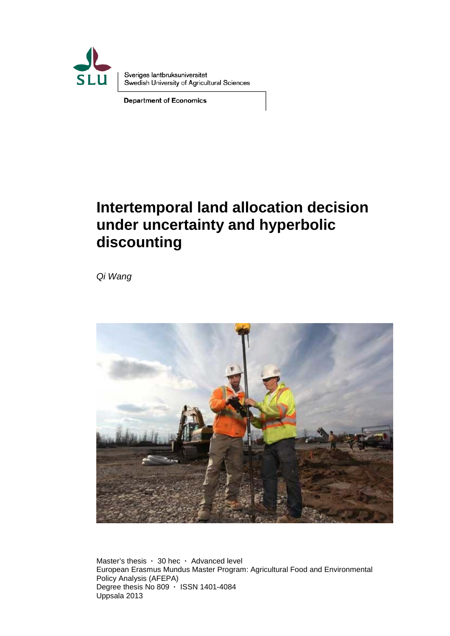

Sveriges lantbruksuniversitet Swedish University of Agricultural Sciences

**Department of Economics** 

# **Intertemporal land allocation decision under uncertainty and hyperbolic discounting**

*Qi Wang* 



Master's thesis **·** 30 hec **·** Advanced level European Erasmus Mundus Master Program: Agricultural Food and Environmental Policy Analysis (AFEPA) Degree thesis No 809 **·** ISSN 1401-4084 Uppsala 2013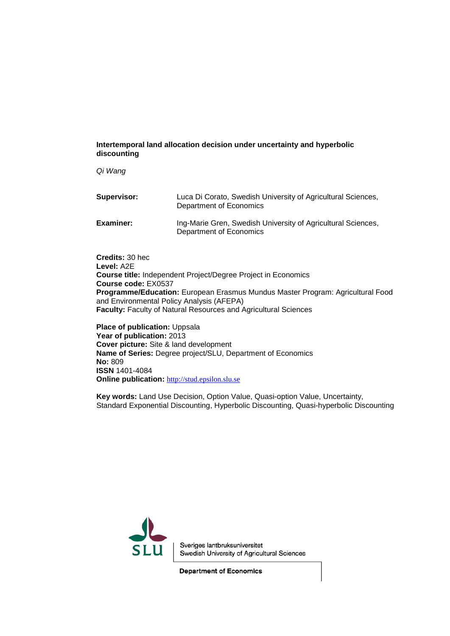#### **Intertemporal land allocation decision under uncertainty and hyperbolic discounting**

*Qi Wang*

| Supervisor: | Luca Di Corato, Swedish University of Agricultural Sciences,<br>Department of Economics |
|-------------|-----------------------------------------------------------------------------------------|
| Examiner:   | Ing-Marie Gren, Swedish University of Agricultural Sciences,<br>Department of Economics |

**Credits:** 30 hec **Level:** A2E **Course title:** Independent Project/Degree Project in Economics **Course code:** EX0537 **Programme/Education:** European Erasmus Mundus Master Program: Agricultural Food and Environmental Policy Analysis (AFEPA) **Faculty:** Faculty of Natural Resources and Agricultural Sciences

**Place of publication: Uppsala Year of publication:** 2013 **Cover picture:** Site & land development **Name of Series:** Degree project/SLU, Department of Economics **No:** 809 **ISSN** 1401-4084 **Online publication:** [http://stud.epsilon.slu.se](http://stud.epsilon.slu.se/)

**Key words:** Land Use Decision, Option Value, Quasi-option Value, Uncertainty, Standard Exponential Discounting, Hyperbolic Discounting, Quasi-hyperbolic Discounting



Sveriges lantbruksuniversitet Swedish University of Agricultural Sciences

**Department of Economics**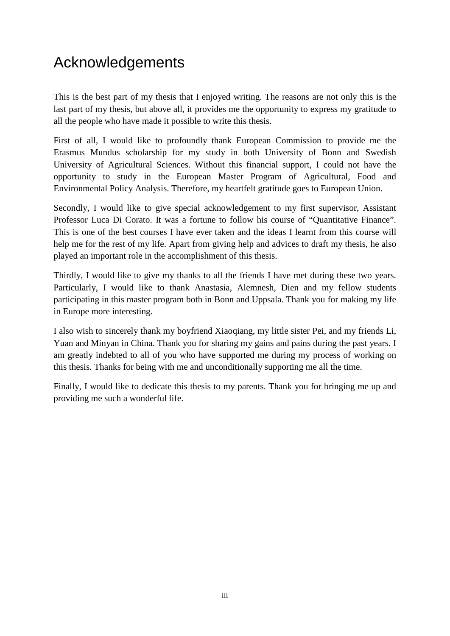# Acknowledgements

This is the best part of my thesis that I enjoyed writing. The reasons are not only this is the last part of my thesis, but above all, it provides me the opportunity to express my gratitude to all the people who have made it possible to write this thesis.

First of all, I would like to profoundly thank European Commission to provide me the Erasmus Mundus scholarship for my study in both University of Bonn and Swedish University of Agricultural Sciences. Without this financial support, I could not have the opportunity to study in the European Master Program of Agricultural, Food and Environmental Policy Analysis. Therefore, my heartfelt gratitude goes to European Union.

Secondly, I would like to give special acknowledgement to my first supervisor, Assistant Professor Luca Di Corato. It was a fortune to follow his course of "Quantitative Finance". This is one of the best courses I have ever taken and the ideas I learnt from this course will help me for the rest of my life. Apart from giving help and advices to draft my thesis, he also played an important role in the accomplishment of this thesis.

Thirdly, I would like to give my thanks to all the friends I have met during these two years. Particularly, I would like to thank Anastasia, Alemnesh, Dien and my fellow students participating in this master program both in Bonn and Uppsala. Thank you for making my life in Europe more interesting.

I also wish to sincerely thank my boyfriend Xiaoqiang, my little sister Pei, and my friends Li, Yuan and Minyan in China. Thank you for sharing my gains and pains during the past years. I am greatly indebted to all of you who have supported me during my process of working on this thesis. Thanks for being with me and unconditionally supporting me all the time.

Finally, I would like to dedicate this thesis to my parents. Thank you for bringing me up and providing me such a wonderful life.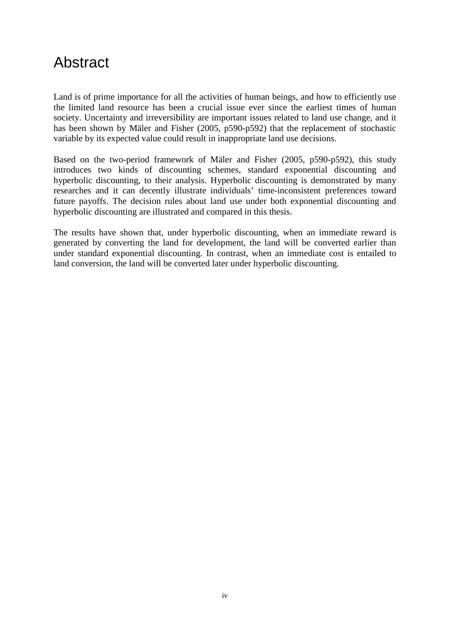# Abstract

Land is of prime importance for all the activities of human beings, and how to efficiently use the limited land resource has been a crucial issue ever since the earliest times of human society. Uncertainty and irreversibility are important issues related to land use change, and it has been shown by Mäler and Fisher (2005, p590-p592) that the replacement of stochastic variable by its expected value could result in inappropriate land use decisions.

Based on the two-period framework of Mäler and Fisher (2005, p590-p592), this study introduces two kinds of discounting schemes, standard exponential discounting and hyperbolic discounting, to their analysis. Hyperbolic discounting is demonstrated by many researches and it can decently illustrate individuals' time-inconsistent preferences toward future payoffs. The decision rules about land use under both exponential discounting and hyperbolic discounting are illustrated and compared in this thesis.

The results have shown that, under hyperbolic discounting, when an immediate reward is generated by converting the land for development, the land will be converted earlier than under standard exponential discounting. In contrast, when an immediate cost is entailed to land conversion, the land will be converted later under hyperbolic discounting.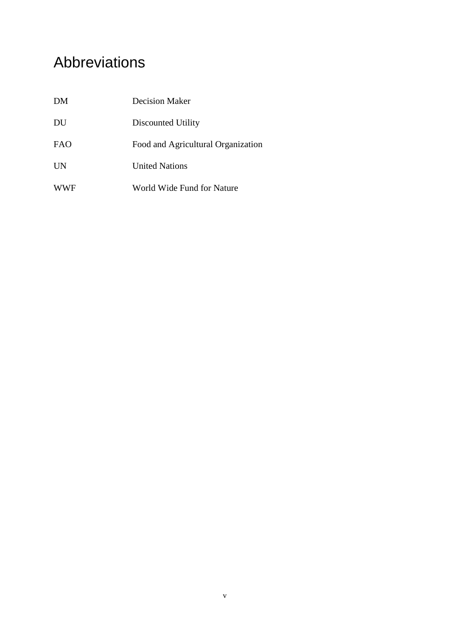# Abbreviations

| DM         | Decision Maker                     |
|------------|------------------------------------|
| DU         | Discounted Utility                 |
| <b>FAO</b> | Food and Agricultural Organization |
| <b>UN</b>  | <b>United Nations</b>              |
| <b>WWF</b> | World Wide Fund for Nature         |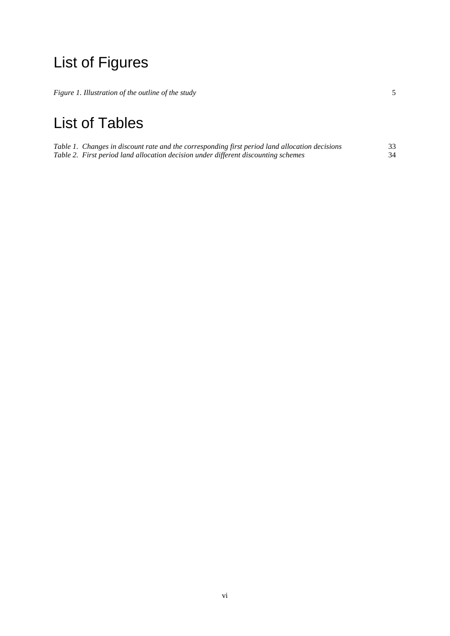# List of Figures

*[Figure 1. Illustration of the outline of the study](#page-12-0)* 5

# List of Tables

| Table 1. Changes in discount rate and the corresponding first period land allocation decisions | 33 |
|------------------------------------------------------------------------------------------------|----|
| Table 2. First period land allocation decision under different discounting schemes             | 34 |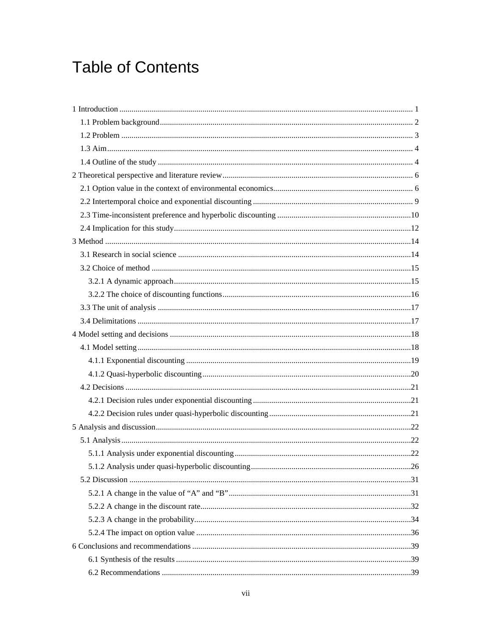# **Table of Contents**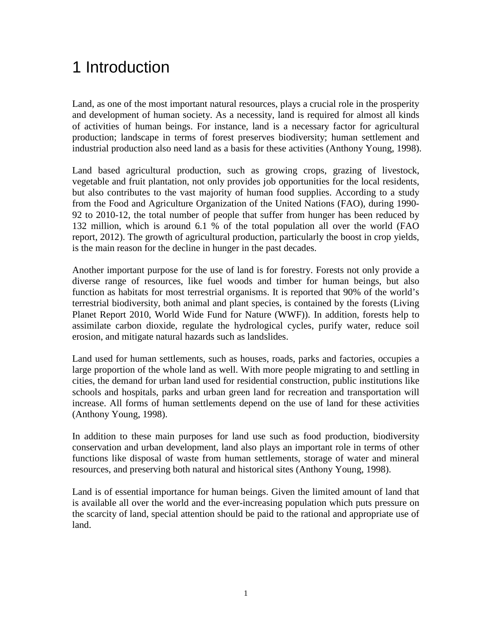# <span id="page-8-0"></span>1 Introduction

Land, as one of the most important natural resources, plays a crucial role in the prosperity and development of human society. As a necessity, land is required for almost all kinds of activities of human beings. For instance, land is a necessary factor for agricultural production; landscape in terms of forest preserves biodiversity; human settlement and industrial production also need land as a basis for these activities (Anthony Young, 1998).

Land based agricultural production, such as growing crops, grazing of livestock, vegetable and fruit plantation, not only provides job opportunities for the local residents, but also contributes to the vast majority of human food supplies. According to a study from the Food and Agriculture Organization of the United Nations (FAO), during 1990- 92 to 2010-12, the total number of people that suffer from hunger has been reduced by 132 million, which is around 6.1 % of the total population all over the world (FAO report, 2012). The growth of agricultural production, particularly the boost in crop yields, is the main reason for the decline in hunger in the past decades.

Another important purpose for the use of land is for forestry. Forests not only provide a diverse range of resources, like fuel woods and timber for human beings, but also function as habitats for most terrestrial organisms. It is reported that 90% of the world's terrestrial biodiversity, both animal and plant species, is contained by the forests (Living Planet Report 2010, World Wide Fund for Nature (WWF)). In addition, forests help to assimilate carbon dioxide, regulate the hydrological cycles, purify water, reduce soil erosion, and mitigate natural hazards such as landslides.

Land used for human settlements, such as houses, roads, parks and factories, occupies a large proportion of the whole land as well. With more people migrating to and settling in cities, the demand for urban land used for residential construction, public institutions like schools and hospitals, parks and urban green land for recreation and transportation will increase. All forms of human settlements depend on the use of land for these activities (Anthony Young, 1998).

In addition to these main purposes for land use such as food production, biodiversity conservation and urban development, land also plays an important role in terms of other functions like disposal of waste from human settlements, storage of water and mineral resources, and preserving both natural and historical sites (Anthony Young, 1998).

Land is of essential importance for human beings. Given the limited amount of land that is available all over the world and the ever-increasing population which puts pressure on the scarcity of land, special attention should be paid to the rational and appropriate use of land.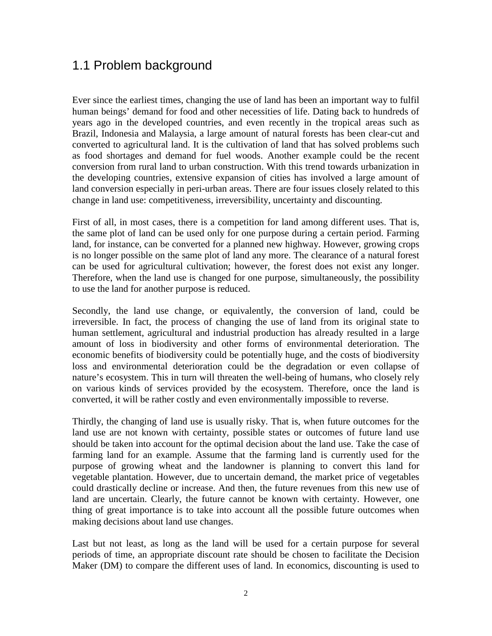## <span id="page-9-0"></span>1.1 Problem background

Ever since the earliest times, changing the use of land has been an important way to fulfil human beings' demand for food and other necessities of life. Dating back to hundreds of years ago in the developed countries, and even recently in the tropical areas such as Brazil, Indonesia and Malaysia, a large amount of natural forests has been clear-cut and converted to agricultural land. It is the cultivation of land that has solved problems such as food shortages and demand for fuel woods. Another example could be the recent conversion from rural land to urban construction. With this trend towards urbanization in the developing countries, extensive expansion of cities has involved a large amount of land conversion especially in peri-urban areas. There are four issues closely related to this change in land use: competitiveness, irreversibility, uncertainty and discounting.

First of all, in most cases, there is a competition for land among different uses. That is, the same plot of land can be used only for one purpose during a certain period. Farming land, for instance, can be converted for a planned new highway. However, growing crops is no longer possible on the same plot of land any more. The clearance of a natural forest can be used for agricultural cultivation; however, the forest does not exist any longer. Therefore, when the land use is changed for one purpose, simultaneously, the possibility to use the land for another purpose is reduced.

Secondly, the land use change, or equivalently, the conversion of land, could be irreversible. In fact, the process of changing the use of land from its original state to human settlement, agricultural and industrial production has already resulted in a large amount of loss in biodiversity and other forms of environmental deterioration. The economic benefits of biodiversity could be potentially huge, and the costs of biodiversity loss and environmental deterioration could be the degradation or even collapse of nature's ecosystem. This in turn will threaten the well-being of humans, who closely rely on various kinds of services provided by the ecosystem. Therefore, once the land is converted, it will be rather costly and even environmentally impossible to reverse.

Thirdly, the changing of land use is usually risky. That is, when future outcomes for the land use are not known with certainty, possible states or outcomes of future land use should be taken into account for the optimal decision about the land use. Take the case of farming land for an example. Assume that the farming land is currently used for the purpose of growing wheat and the landowner is planning to convert this land for vegetable plantation. However, due to uncertain demand, the market price of vegetables could drastically decline or increase. And then, the future revenues from this new use of land are uncertain. Clearly, the future cannot be known with certainty. However, one thing of great importance is to take into account all the possible future outcomes when making decisions about land use changes.

Last but not least, as long as the land will be used for a certain purpose for several periods of time, an appropriate discount rate should be chosen to facilitate the Decision Maker (DM) to compare the different uses of land. In economics, discounting is used to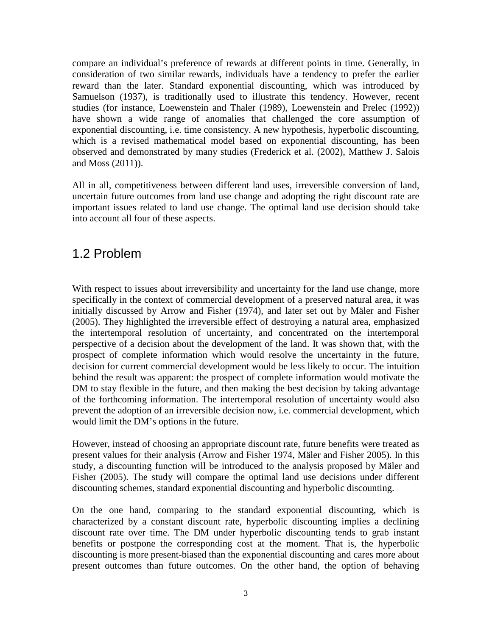compare an individual's preference of rewards at different points in time. Generally, in consideration of two similar rewards, individuals have a tendency to prefer the earlier reward than the later. Standard exponential discounting, which was introduced by Samuelson (1937), is traditionally used to illustrate this tendency. However, recent studies (for instance, Loewenstein and Thaler (1989), Loewenstein and Prelec (1992)) have shown a wide range of anomalies that challenged the core assumption of exponential discounting, i.e. time consistency. A new hypothesis, hyperbolic discounting, which is a revised mathematical model based on exponential discounting, has been observed and demonstrated by many studies (Frederick et al. (2002), Matthew J. Salois and Moss (2011)).

All in all, competitiveness between different land uses, irreversible conversion of land, uncertain future outcomes from land use change and adopting the right discount rate are important issues related to land use change. The optimal land use decision should take into account all four of these aspects.

### <span id="page-10-0"></span>1.2 Problem

With respect to issues about irreversibility and uncertainty for the land use change, more specifically in the context of commercial development of a preserved natural area, it was initially discussed by Arrow and Fisher (1974), and later set out by Mäler and Fisher (2005). They highlighted the irreversible effect of destroying a natural area, emphasized the intertemporal resolution of uncertainty, and concentrated on the intertemporal perspective of a decision about the development of the land. It was shown that, with the prospect of complete information which would resolve the uncertainty in the future, decision for current commercial development would be less likely to occur. The intuition behind the result was apparent: the prospect of complete information would motivate the DM to stay flexible in the future, and then making the best decision by taking advantage of the forthcoming information. The intertemporal resolution of uncertainty would also prevent the adoption of an irreversible decision now, i.e. commercial development, which would limit the DM's options in the future.

However, instead of choosing an appropriate discount rate, future benefits were treated as present values for their analysis (Arrow and Fisher 1974, Mäler and Fisher 2005). In this study, a discounting function will be introduced to the analysis proposed by Mäler and Fisher (2005). The study will compare the optimal land use decisions under different discounting schemes, standard exponential discounting and hyperbolic discounting.

On the one hand, comparing to the standard exponential discounting, which is characterized by a constant discount rate, hyperbolic discounting implies a declining discount rate over time. The DM under hyperbolic discounting tends to grab instant benefits or postpone the corresponding cost at the moment. That is, the hyperbolic discounting is more present-biased than the exponential discounting and cares more about present outcomes than future outcomes. On the other hand, the option of behaving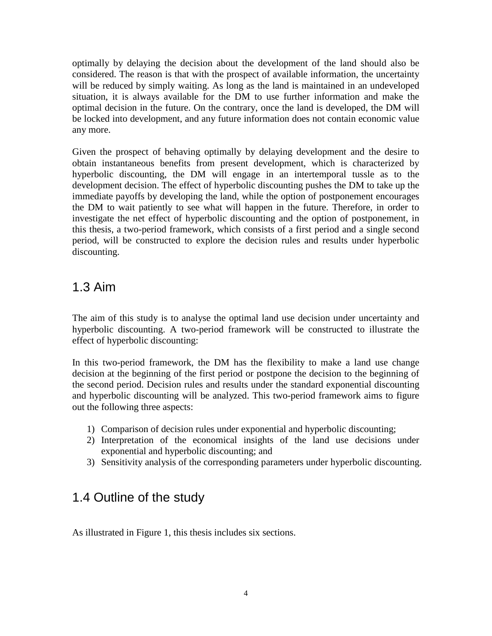optimally by delaying the decision about the development of the land should also be considered. The reason is that with the prospect of available information, the uncertainty will be reduced by simply waiting. As long as the land is maintained in an undeveloped situation, it is always available for the DM to use further information and make the optimal decision in the future. On the contrary, once the land is developed, the DM will be locked into development, and any future information does not contain economic value any more.

Given the prospect of behaving optimally by delaying development and the desire to obtain instantaneous benefits from present development, which is characterized by hyperbolic discounting, the DM will engage in an intertemporal tussle as to the development decision. The effect of hyperbolic discounting pushes the DM to take up the immediate payoffs by developing the land, while the option of postponement encourages the DM to wait patiently to see what will happen in the future. Therefore, in order to investigate the net effect of hyperbolic discounting and the option of postponement, in this thesis, a two-period framework, which consists of a first period and a single second period, will be constructed to explore the decision rules and results under hyperbolic discounting.

## <span id="page-11-0"></span>1.3 Aim

The aim of this study is to analyse the optimal land use decision under uncertainty and hyperbolic discounting. A two-period framework will be constructed to illustrate the effect of hyperbolic discounting:

In this two-period framework, the DM has the flexibility to make a land use change decision at the beginning of the first period or postpone the decision to the beginning of the second period. Decision rules and results under the standard exponential discounting and hyperbolic discounting will be analyzed. This two-period framework aims to figure out the following three aspects:

- 1) Comparison of decision rules under exponential and hyperbolic discounting;
- 2) Interpretation of the economical insights of the land use decisions under exponential and hyperbolic discounting; and
- 3) Sensitivity analysis of the corresponding parameters under hyperbolic discounting.

## <span id="page-11-1"></span>1.4 Outline of the study

As illustrated in Figure 1, this thesis includes six sections.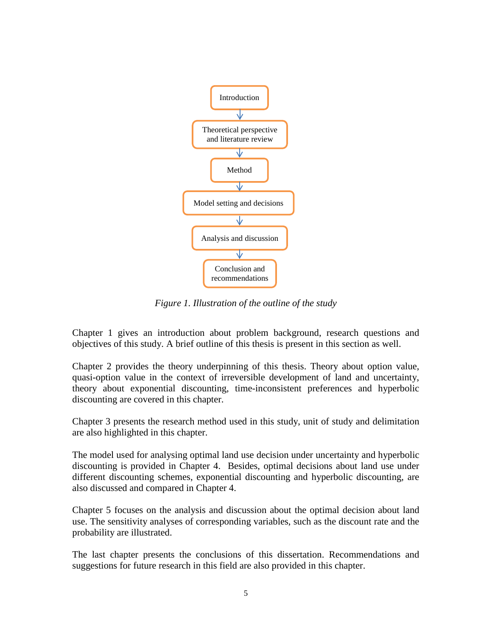

*Figure 1. Illustration of the outline of the study*

<span id="page-12-0"></span>Chapter 1 gives an introduction about problem background, research questions and objectives of this study. A brief outline of this thesis is present in this section as well.

Chapter 2 provides the theory underpinning of this thesis. Theory about option value, quasi-option value in the context of irreversible development of land and uncertainty, theory about exponential discounting, time-inconsistent preferences and hyperbolic discounting are covered in this chapter.

Chapter 3 presents the research method used in this study, unit of study and delimitation are also highlighted in this chapter.

The model used for analysing optimal land use decision under uncertainty and hyperbolic discounting is provided in Chapter 4. Besides, optimal decisions about land use under different discounting schemes, exponential discounting and hyperbolic discounting, are also discussed and compared in Chapter 4.

Chapter 5 focuses on the analysis and discussion about the optimal decision about land use. The sensitivity analyses of corresponding variables, such as the discount rate and the probability are illustrated.

The last chapter presents the conclusions of this dissertation. Recommendations and suggestions for future research in this field are also provided in this chapter.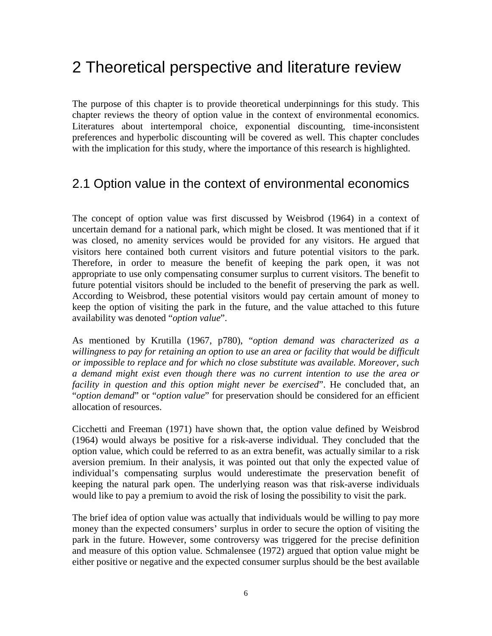## <span id="page-13-0"></span>2 Theoretical perspective and literature review

The purpose of this chapter is to provide theoretical underpinnings for this study. This chapter reviews the theory of option value in the context of environmental economics. Literatures about intertemporal choice, exponential discounting, time-inconsistent preferences and hyperbolic discounting will be covered as well. This chapter concludes with the implication for this study, where the importance of this research is highlighted.

## <span id="page-13-1"></span>2.1 Option value in the context of environmental economics

The concept of option value was first discussed by Weisbrod (1964) in a context of uncertain demand for a national park, which might be closed. It was mentioned that if it was closed, no amenity services would be provided for any visitors. He argued that visitors here contained both current visitors and future potential visitors to the park. Therefore, in order to measure the benefit of keeping the park open, it was not appropriate to use only compensating consumer surplus to current visitors. The benefit to future potential visitors should be included to the benefit of preserving the park as well. According to Weisbrod, these potential visitors would pay certain amount of money to keep the option of visiting the park in the future, and the value attached to this future availability was denoted "*option value*".

As mentioned by Krutilla (1967, p780), "*option demand was characterized as a*  willingness to pay for retaining an option to use an area or facility that would be difficult *or impossible to replace and for which no close substitute was available. Moreover, such a demand might exist even though there was no current intention to use the area or facility in question and this option might never be exercised*". He concluded that, an "*option demand*" or "*option value*" for preservation should be considered for an efficient allocation of resources.

Cicchetti and Freeman (1971) have shown that, the option value defined by Weisbrod (1964) would always be positive for a risk-averse individual. They concluded that the option value, which could be referred to as an extra benefit, was actually similar to a risk aversion premium. In their analysis, it was pointed out that only the expected value of individual's compensating surplus would underestimate the preservation benefit of keeping the natural park open. The underlying reason was that risk-averse individuals would like to pay a premium to avoid the risk of losing the possibility to visit the park.

The brief idea of option value was actually that individuals would be willing to pay more money than the expected consumers' surplus in order to secure the option of visiting the park in the future. However, some controversy was triggered for the precise definition and measure of this option value. Schmalensee (1972) argued that option value might be either positive or negative and the expected consumer surplus should be the best available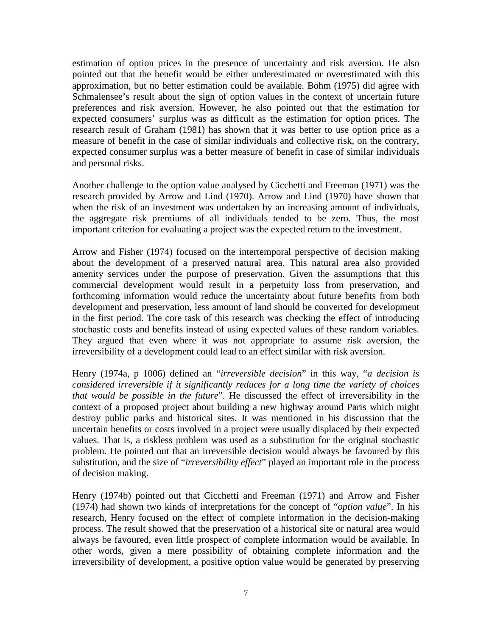estimation of option prices in the presence of uncertainty and risk aversion. He also pointed out that the benefit would be either underestimated or overestimated with this approximation, but no better estimation could be available. Bohm (1975) did agree with Schmalensee's result about the sign of option values in the context of uncertain future preferences and risk aversion. However, he also pointed out that the estimation for expected consumers' surplus was as difficult as the estimation for option prices. The research result of Graham (1981) has shown that it was better to use option price as a measure of benefit in the case of similar individuals and collective risk, on the contrary, expected consumer surplus was a better measure of benefit in case of similar individuals and personal risks.

Another challenge to the option value analysed by Cicchetti and Freeman (1971) was the research provided by Arrow and Lind (1970). Arrow and Lind (1970) have shown that when the risk of an investment was undertaken by an increasing amount of individuals, the aggregate risk premiums of all individuals tended to be zero. Thus, the most important criterion for evaluating a project was the expected return to the investment.

Arrow and Fisher (1974) focused on the intertemporal perspective of decision making about the development of a preserved natural area. This natural area also provided amenity services under the purpose of preservation. Given the assumptions that this commercial development would result in a perpetuity loss from preservation, and forthcoming information would reduce the uncertainty about future benefits from both development and preservation, less amount of land should be converted for development in the first period. The core task of this research was checking the effect of introducing stochastic costs and benefits instead of using expected values of these random variables. They argued that even where it was not appropriate to assume risk aversion, the irreversibility of a development could lead to an effect similar with risk aversion.

Henry (1974a, p 1006) defined an "*irreversible decision*" in this way, "*a decision is considered irreversible if it significantly reduces for a long time the variety of choices that would be possible in the future*". He discussed the effect of irreversibility in the context of a proposed project about building a new highway around Paris which might destroy public parks and historical sites. It was mentioned in his discussion that the uncertain benefits or costs involved in a project were usually displaced by their expected values. That is, a riskless problem was used as a substitution for the original stochastic problem. He pointed out that an irreversible decision would always be favoured by this substitution, and the size of "*irreversibility effect*" played an important role in the process of decision making.

Henry (1974b) pointed out that Cicchetti and Freeman (1971) and Arrow and Fisher (1974) had shown two kinds of interpretations for the concept of "*option value*". In his research, Henry focused on the effect of complete information in the decision-making process. The result showed that the preservation of a historical site or natural area would always be favoured, even little prospect of complete information would be available. In other words, given a mere possibility of obtaining complete information and the irreversibility of development, a positive option value would be generated by preserving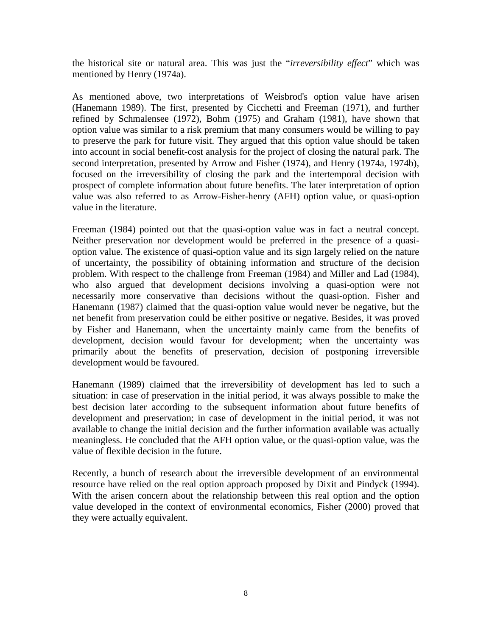the historical site or natural area. This was just the "*irreversibility effect*" which was mentioned by Henry (1974a).

As mentioned above, two interpretations of Weisbrod's option value have arisen (Hanemann 1989). The first, presented by Cicchetti and Freeman (1971), and further refined by Schmalensee (1972), Bohm (1975) and Graham (1981), have shown that option value was similar to a risk premium that many consumers would be willing to pay to preserve the park for future visit. They argued that this option value should be taken into account in social benefit-cost analysis for the project of closing the natural park. The second interpretation, presented by Arrow and Fisher (1974), and Henry (1974a, 1974b), focused on the irreversibility of closing the park and the intertemporal decision with prospect of complete information about future benefits. The later interpretation of option value was also referred to as Arrow-Fisher-henry (AFH) option value, or quasi-option value in the literature.

Freeman (1984) pointed out that the quasi-option value was in fact a neutral concept. Neither preservation nor development would be preferred in the presence of a quasioption value. The existence of quasi-option value and its sign largely relied on the nature of uncertainty, the possibility of obtaining information and structure of the decision problem. With respect to the challenge from Freeman (1984) and Miller and Lad (1984), who also argued that development decisions involving a quasi-option were not necessarily more conservative than decisions without the quasi-option. Fisher and Hanemann (1987) claimed that the quasi-option value would never be negative, but the net benefit from preservation could be either positive or negative. Besides, it was proved by Fisher and Hanemann, when the uncertainty mainly came from the benefits of development, decision would favour for development; when the uncertainty was primarily about the benefits of preservation, decision of postponing irreversible development would be favoured.

Hanemann (1989) claimed that the irreversibility of development has led to such a situation: in case of preservation in the initial period, it was always possible to make the best decision later according to the subsequent information about future benefits of development and preservation; in case of development in the initial period, it was not available to change the initial decision and the further information available was actually meaningless. He concluded that the AFH option value, or the quasi-option value, was the value of flexible decision in the future.

Recently, a bunch of research about the irreversible development of an environmental resource have relied on the real option approach proposed by Dixit and Pindyck (1994). With the arisen concern about the relationship between this real option and the option value developed in the context of environmental economics, Fisher (2000) proved that they were actually equivalent.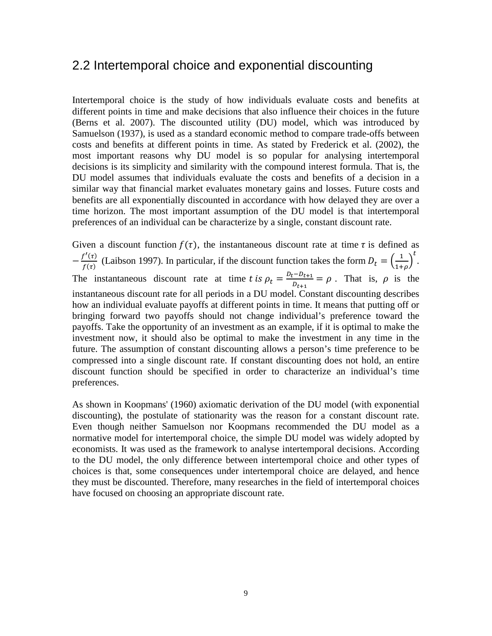### <span id="page-16-0"></span>2.2 Intertemporal choice and exponential discounting

Intertemporal choice is the study of how individuals evaluate costs and benefits at different points in time and make decisions that also influence their choices in the future (Berns et al. 2007). The discounted utility (DU) model, which was introduced by Samuelson (1937), is used as a standard economic method to compare trade-offs between costs and benefits at different points in time. As stated by Frederick et al. (2002), the most important reasons why DU model is so popular for analysing intertemporal decisions is its simplicity and similarity with the compound interest formula. That is, the DU model assumes that individuals evaluate the costs and benefits of a decision in a similar way that financial market evaluates monetary gains and losses. Future costs and benefits are all exponentially discounted in accordance with how delayed they are over a time horizon. The most important assumption of the DU model is that intertemporal preferences of an individual can be characterize by a single, constant discount rate.

Given a discount function  $f(\tau)$ , the instantaneous discount rate at time  $\tau$  is defined as  $-\frac{f'(\tau)}{f(\tau)}$  (Laibson 1997). In particular, if the discount function takes the form  $D_t = \left(\frac{1}{1+\rho}\right)$  $1+\rho$  $\frac{t}{\cdot}$ The instantaneous discount rate at time *t* is  $\rho_t = \frac{D_t - D_{t+1}}{D_{t+1}} = \rho$ . That is,  $\rho$  is the instantaneous discount rate for all periods in a DU model. Constant discounting describes how an individual evaluate payoffs at different points in time. It means that putting off or bringing forward two payoffs should not change individual's preference toward the payoffs. Take the opportunity of an investment as an example, if it is optimal to make the investment now, it should also be optimal to make the investment in any time in the future. The assumption of constant discounting allows a person's time preference to be compressed into a single discount rate. If constant discounting does not hold, an entire discount function should be specified in order to characterize an individual's time preferences.

As shown in Koopmans' (1960) axiomatic derivation of the DU model (with exponential discounting), the postulate of stationarity was the reason for a constant discount rate. Even though neither Samuelson nor Koopmans recommended the DU model as a normative model for intertemporal choice, the simple DU model was widely adopted by economists. It was used as the framework to analyse intertemporal decisions. According to the DU model, the only difference between intertemporal choice and other types of choices is that, some consequences under intertemporal choice are delayed, and hence they must be discounted. Therefore, many researches in the field of intertemporal choices have focused on choosing an appropriate discount rate.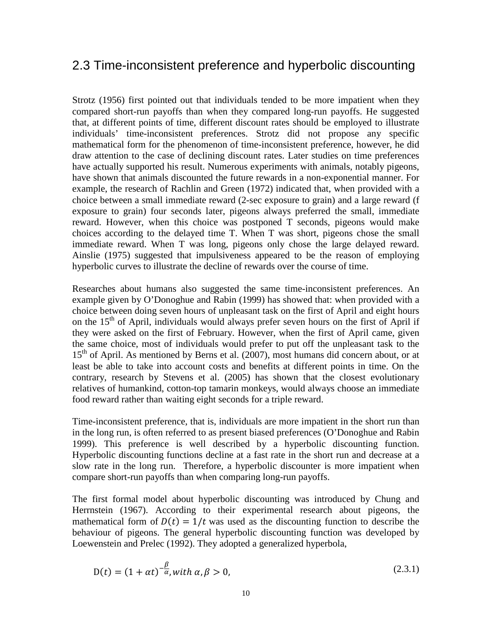### <span id="page-17-0"></span>2.3 Time-inconsistent preference and hyperbolic discounting

Strotz (1956) first pointed out that individuals tended to be more impatient when they compared short-run payoffs than when they compared long-run payoffs. He suggested that, at different points of time, different discount rates should be employed to illustrate individuals' time-inconsistent preferences. Strotz did not propose any specific mathematical form for the phenomenon of time-inconsistent preference, however, he did draw attention to the case of declining discount rates. Later studies on time preferences have actually supported his result. Numerous experiments with animals, notably pigeons, have shown that animals discounted the future rewards in a non-exponential manner. For example, the research of Rachlin and Green (1972) indicated that, when provided with a choice between a small immediate reward (2-sec exposure to grain) and a large reward (f exposure to grain) four seconds later, pigeons always preferred the small, immediate reward. However, when this choice was postponed T seconds, pigeons would make choices according to the delayed time T. When T was short, pigeons chose the small immediate reward. When T was long, pigeons only chose the large delayed reward. Ainslie (1975) suggested that impulsiveness appeared to be the reason of employing hyperbolic curves to illustrate the decline of rewards over the course of time.

Researches about humans also suggested the same time-inconsistent preferences. An example given by O'Donoghue and Rabin (1999) has showed that: when provided with a choice between doing seven hours of unpleasant task on the first of April and eight hours on the  $15<sup>th</sup>$  of April, individuals would always prefer seven hours on the first of April if they were asked on the first of February. However, when the first of April came, given the same choice, most of individuals would prefer to put off the unpleasant task to the 15<sup>th</sup> of April. As mentioned by Berns et al. (2007), most humans did concern about, or at least be able to take into account costs and benefits at different points in time. On the contrary, research by Stevens et al. (2005) has shown that the closest evolutionary relatives of humankind, cotton-top tamarin monkeys, would always choose an immediate food reward rather than waiting eight seconds for a triple reward.

Time-inconsistent preference, that is, individuals are more impatient in the short run than in the long run, is often referred to as present biased preferences (O'Donoghue and Rabin 1999). This preference is well described by a hyperbolic discounting function. Hyperbolic discounting functions decline at a fast rate in the short run and decrease at a slow rate in the long run. Therefore, a hyperbolic discounter is more impatient when compare short-run payoffs than when comparing long-run payoffs.

The first formal model about hyperbolic discounting was introduced by Chung and Herrnstein (1967). According to their experimental research about pigeons, the mathematical form of  $D(t) = 1/t$  was used as the discounting function to describe the behaviour of pigeons. The general hyperbolic discounting function was developed by Loewenstein and Prelec (1992). They adopted a generalized hyperbola,

$$
D(t) = (1 + \alpha t)^{-\frac{\beta}{\alpha}}, \text{with } \alpha, \beta > 0,
$$
\n
$$
(2.3.1)
$$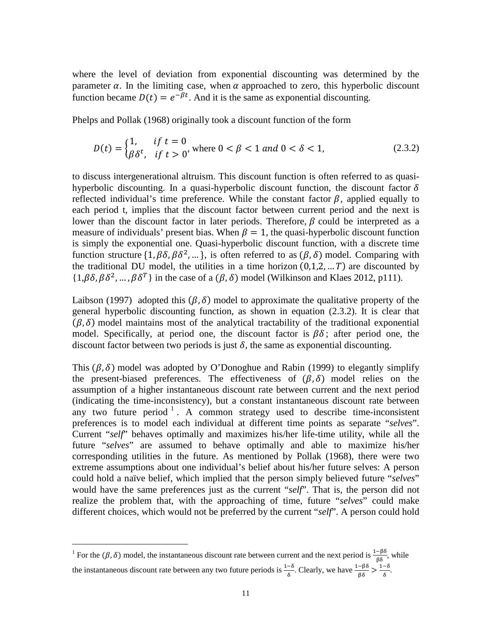where the level of deviation from exponential discounting was determined by the parameter  $\alpha$ . In the limiting case, when  $\alpha$  approached to zero, this hyperbolic discount function became  $D(t) = e^{-\beta t}$ . And it is the same as exponential discounting.

Phelps and Pollak (1968) originally took a discount function of the form

$$
D(t) = \begin{cases} 1, & \text{if } t = 0 \\ \beta \delta^t, & \text{if } t > 0 \end{cases}
$$
\nwhere  $0 < \beta < 1$  and  $0 < \delta < 1$ ,

\n(2.3.2)

to discuss intergenerational altruism. This discount function is often referred to as quasihyperbolic discounting. In a quasi-hyperbolic discount function, the discount factor  $\delta$ reflected individual's time preference. While the constant factor  $\beta$ , applied equally to each period t, implies that the discount factor between current period and the next is lower than the discount factor in later periods. Therefore,  $\beta$  could be interpreted as a measure of individuals' present bias. When  $\beta = 1$ , the quasi-hyperbolic discount function is simply the exponential one. Quasi-hyperbolic discount function, with a discrete time function structure  $\{1, \beta\delta, \beta\delta^2, ...\}$ , is often referred to as  $(\beta, \delta)$  model. Comparing with the traditional DU model, the utilities in a time horizon  $(0,1,2,...,T)$  are discounted by  $\{1,\beta\delta,\beta\delta^2,\ldots,\beta\delta^T\}$  in the case of a  $(\beta,\delta)$  model (Wilkinson and Klaes 2012, p111).

Laibson (1997) adopted this  $(\beta, \delta)$  model to approximate the qualitative property of the general hyperbolic discounting function, as shown in equation (2.3.2). It is clear that  $(\beta, \delta)$  model maintains most of the analytical tractability of the traditional exponential model. Specifically, at period one, the discount factor is  $\beta\delta$ ; after period one, the discount factor between two periods is just  $\delta$ , the same as exponential discounting.

This  $(\beta, \delta)$  model was adopted by O'Donoghue and Rabin (1999) to elegantly simplify the present-biased preferences. The effectiveness of  $(\beta, \delta)$  model relies on the assumption of a higher instantaneous discount rate between current and the next period (indicating the time-inconsistency), but a constant instantaneous discount rate between any two future period  $1$ . A common strategy used to describe time-inconsistent preferences is to model each individual at different time points as separate "*selves*". Current "*self*" behaves optimally and maximizes his/her life-time utility, while all the future "*selves*" are assumed to behave optimally and able to maximize his/her corresponding utilities in the future. As mentioned by Pollak (1968), there were two extreme assumptions about one individual's belief about his/her future selves: A person could hold a naïve belief, which implied that the person simply believed future "*selves*" would have the same preferences just as the current "*self*". That is, the person did not realize the problem that, with the approaching of time, future "*selves*" could make different choices, which would not be preferred by the current "*self*". A person could hold

 $\overline{a}$ 

<span id="page-18-0"></span><sup>&</sup>lt;sup>1</sup> For the ( $\beta$ ,  $\delta$ ) model, the instantaneous discount rate between current and the next period is  $\frac{1-\beta\delta}{\beta\delta}$ , while the instantaneous discount rate between any two future periods is  $\frac{1-\delta}{\delta}$ . Clearly, we have  $\frac{1-\beta\delta}{\beta\delta} > \frac{1-\delta}{\delta}$ .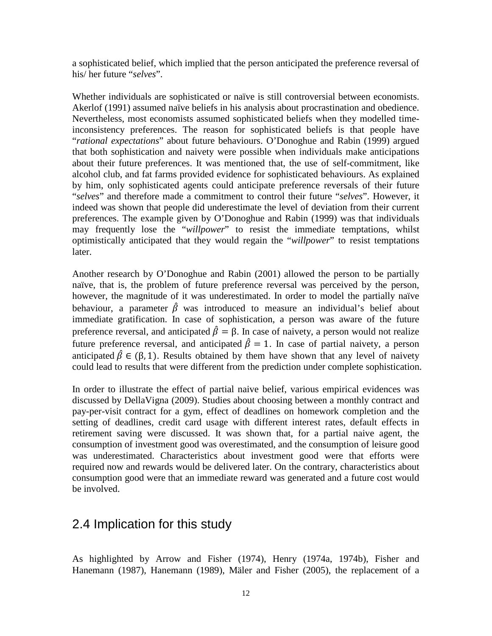a sophisticated belief, which implied that the person anticipated the preference reversal of his/ her future "*selves*".

Whether individuals are sophisticated or naïve is still controversial between economists. Akerlof (1991) assumed naïve beliefs in his analysis about procrastination and obedience. Nevertheless, most economists assumed sophisticated beliefs when they modelled timeinconsistency preferences. The reason for sophisticated beliefs is that people have "*rational expectations*" about future behaviours. O'Donoghue and Rabin (1999) argued that both sophistication and naivety were possible when individuals make anticipations about their future preferences. It was mentioned that, the use of self-commitment, like alcohol club, and fat farms provided evidence for sophisticated behaviours. As explained by him, only sophisticated agents could anticipate preference reversals of their future "*selves*" and therefore made a commitment to control their future "*selves*". However, it indeed was shown that people did underestimate the level of deviation from their current preferences. The example given by O'Donoghue and Rabin (1999) was that individuals may frequently lose the "*willpower*" to resist the immediate temptations, whilst optimistically anticipated that they would regain the "*willpower*" to resist temptations later.

Another research by O'Donoghue and Rabin (2001) allowed the person to be partially naïve, that is, the problem of future preference reversal was perceived by the person, however, the magnitude of it was underestimated. In order to model the partially naïve behaviour, a parameter  $\hat{\beta}$  was introduced to measure an individual's belief about immediate gratification. In case of sophistication, a person was aware of the future preference reversal, and anticipated  $\hat{\beta} = \beta$ . In case of naivety, a person would not realize future preference reversal, and anticipated  $\hat{\beta} = 1$ . In case of partial naivety, a person anticipated  $\hat{\beta} \in (\beta, 1)$ . Results obtained by them have shown that any level of naivety could lead to results that were different from the prediction under complete sophistication.

In order to illustrate the effect of partial naive belief, various empirical evidences was discussed by DellaVigna (2009). Studies about choosing between a monthly contract and pay-per-visit contract for a gym, effect of deadlines on homework completion and the setting of deadlines, credit card usage with different interest rates, default effects in retirement saving were discussed. It was shown that, for a partial naive agent, the consumption of investment good was overestimated, and the consumption of leisure good was underestimated. Characteristics about investment good were that efforts were required now and rewards would be delivered later. On the contrary, characteristics about consumption good were that an immediate reward was generated and a future cost would be involved.

### <span id="page-19-0"></span>2.4 Implication for this study

As highlighted by Arrow and Fisher (1974), Henry (1974a, 1974b), Fisher and Hanemann (1987), Hanemann (1989), Mäler and Fisher (2005), the replacement of a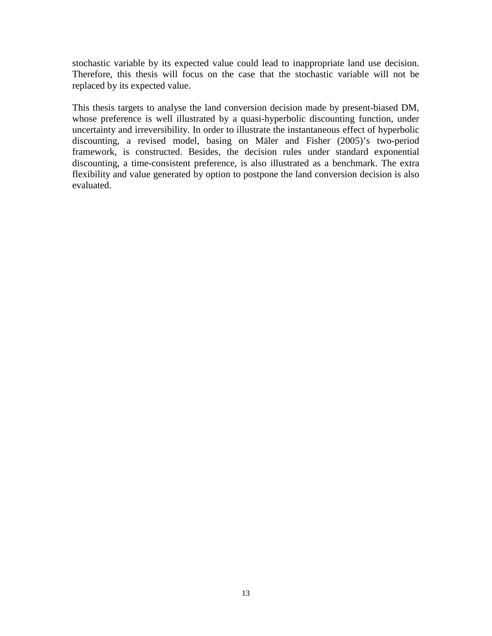stochastic variable by its expected value could lead to inappropriate land use decision. Therefore, this thesis will focus on the case that the stochastic variable will not be replaced by its expected value.

This thesis targets to analyse the land conversion decision made by present-biased DM, whose preference is well illustrated by a quasi-hyperbolic discounting function, under uncertainty and irreversibility. In order to illustrate the instantaneous effect of hyperbolic discounting, a revised model, basing on Mäler and Fisher (2005)'s two-period framework, is constructed. Besides, the decision rules under standard exponential discounting, a time-consistent preference, is also illustrated as a benchmark. The extra flexibility and value generated by option to postpone the land conversion decision is also evaluated.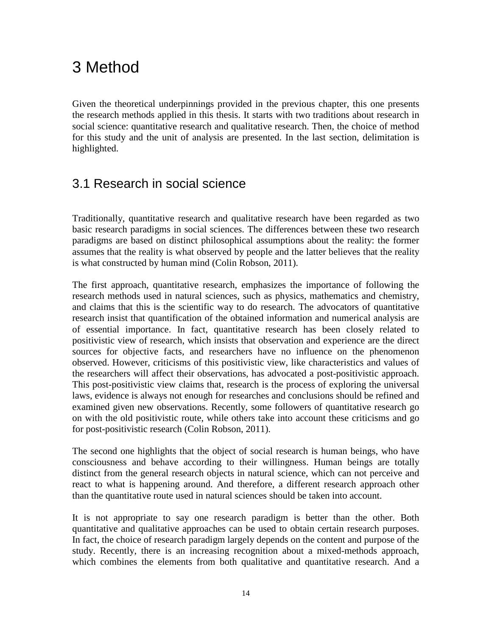# <span id="page-21-0"></span>3 Method

Given the theoretical underpinnings provided in the previous chapter, this one presents the research methods applied in this thesis. It starts with two traditions about research in social science: quantitative research and qualitative research. Then, the choice of method for this study and the unit of analysis are presented. In the last section, delimitation is highlighted.

## <span id="page-21-1"></span>3.1 Research in social science

Traditionally, quantitative research and qualitative research have been regarded as two basic research paradigms in social sciences. The differences between these two research paradigms are based on distinct philosophical assumptions about the reality: the former assumes that the reality is what observed by people and the latter believes that the reality is what constructed by human mind (Colin Robson, 2011).

The first approach, quantitative research, emphasizes the importance of following the research methods used in natural sciences, such as physics, mathematics and chemistry, and claims that this is the scientific way to do research. The advocators of quantitative research insist that quantification of the obtained information and numerical analysis are of essential importance. In fact, quantitative research has been closely related to positivistic view of research, which insists that observation and experience are the direct sources for objective facts, and researchers have no influence on the phenomenon observed. However, criticisms of this positivistic view, like characteristics and values of the researchers will affect their observations, has advocated a post-positivistic approach. This post-positivistic view claims that, research is the process of exploring the universal laws, evidence is always not enough for researches and conclusions should be refined and examined given new observations. Recently, some followers of quantitative research go on with the old positivistic route, while others take into account these criticisms and go for post-positivistic research (Colin Robson, 2011).

The second one highlights that the object of social research is human beings, who have consciousness and behave according to their willingness. Human beings are totally distinct from the general research objects in natural science, which can not perceive and react to what is happening around. And therefore, a different research approach other than the quantitative route used in natural sciences should be taken into account.

It is not appropriate to say one research paradigm is better than the other. Both quantitative and qualitative approaches can be used to obtain certain research purposes. In fact, the choice of research paradigm largely depends on the content and purpose of the study. Recently, there is an increasing recognition about a mixed-methods approach, which combines the elements from both qualitative and quantitative research. And a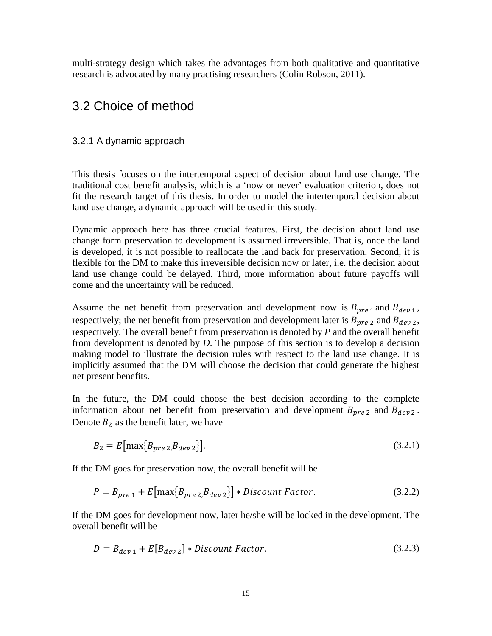multi-strategy design which takes the advantages from both qualitative and quantitative research is advocated by many practising researchers (Colin Robson, 2011).

## <span id="page-22-0"></span>3.2 Choice of method

### <span id="page-22-1"></span>3.2.1 A dynamic approach

This thesis focuses on the intertemporal aspect of decision about land use change. The traditional cost benefit analysis, which is a 'now or never' evaluation criterion, does not fit the research target of this thesis. In order to model the intertemporal decision about land use change, a dynamic approach will be used in this study.

Dynamic approach here has three crucial features. First, the decision about land use change form preservation to development is assumed irreversible. That is, once the land is developed, it is not possible to reallocate the land back for preservation. Second, it is flexible for the DM to make this irreversible decision now or later, i.e. the decision about land use change could be delayed. Third, more information about future payoffs will come and the uncertainty will be reduced.

Assume the net benefit from preservation and development now is  $B_{pre1}$  and  $B_{dev1}$ , respectively; the net benefit from preservation and development later is  $B_{pre\ 2}$  and  $B_{dev\ 2}$ , respectively. The overall benefit from preservation is denoted by *P* and the overall benefit from development is denoted by *D*. The purpose of this section is to develop a decision making model to illustrate the decision rules with respect to the land use change. It is implicitly assumed that the DM will choose the decision that could generate the highest net present benefits.

In the future, the DM could choose the best decision according to the complete information about net benefit from preservation and development  $B_{pre2}$  and  $B_{dev2}$ . Denote  $B_2$  as the benefit later, we have

$$
B_2 = E[\max\{B_{pre\,2}, B_{dev\,2}\}].
$$
\n(3.2.1)

If the DM goes for preservation now, the overall benefit will be

$$
P = B_{pre\,1} + E\big[\max\{B_{pre\,2}, B_{dev\,2}\}\big] * Discount\ Factor.
$$
 (3.2.2)

If the DM goes for development now, later he/she will be locked in the development. The overall benefit will be

$$
D = B_{dev\,1} + E[B_{dev\,2}] * Discount Factor.
$$
\n(3.2.3)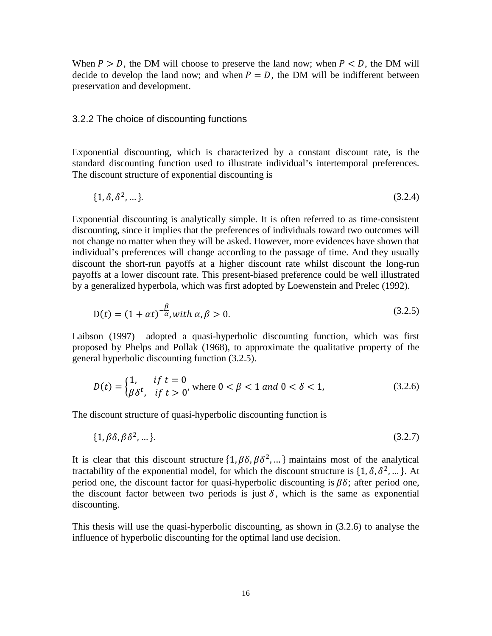When  $P > D$ , the DM will choose to preserve the land now; when  $P < D$ , the DM will decide to develop the land now; and when  $P = D$ , the DM will be indifferent between preservation and development.

### <span id="page-23-0"></span>3.2.2 The choice of discounting functions

Exponential discounting, which is characterized by a constant discount rate, is the standard discounting function used to illustrate individual's intertemporal preferences. The discount structure of exponential discounting is

$$
\{1, \delta, \delta^2, \dots\}.\tag{3.2.4}
$$

Exponential discounting is analytically simple. It is often referred to as time-consistent discounting, since it implies that the preferences of individuals toward two outcomes will not change no matter when they will be asked. However, more evidences have shown that individual's preferences will change according to the passage of time. And they usually discount the short-run payoffs at a higher discount rate whilst discount the long-run payoffs at a lower discount rate. This present-biased preference could be well illustrated by a generalized hyperbola, which was first adopted by Loewenstein and Prelec (1992).

$$
D(t) = (1 + \alpha t)^{-\frac{\beta}{\alpha}}, \text{with } \alpha, \beta > 0.
$$
\n
$$
(3.2.5)
$$

Laibson (1997) adopted a quasi-hyperbolic discounting function, which was first proposed by Phelps and Pollak (1968), to approximate the qualitative property of the general hyperbolic discounting function (3.2.5).

$$
D(t) = \begin{cases} 1, & \text{if } t = 0 \\ \beta \delta^t, & \text{if } t > 0 \end{cases}
$$
\nwhere  $0 < \beta < 1$  and  $0 < \delta < 1$ ,

\n(3.2.6)

The discount structure of quasi-hyperbolic discounting function is

$$
\{1, \beta\delta, \beta\delta^2, \dots\}.\tag{3.2.7}
$$

It is clear that this discount structure  $\{1, \beta\delta, \beta\delta^2, ...\}$  maintains most of the analytical tractability of the exponential model, for which the discount structure is  $\{1, \delta, \delta^2, ...\}$ . At period one, the discount factor for quasi-hyperbolic discounting is  $\beta\delta$ ; after period one, the discount factor between two periods is just  $\delta$ , which is the same as exponential discounting.

This thesis will use the quasi-hyperbolic discounting, as shown in (3.2.6) to analyse the influence of hyperbolic discounting for the optimal land use decision.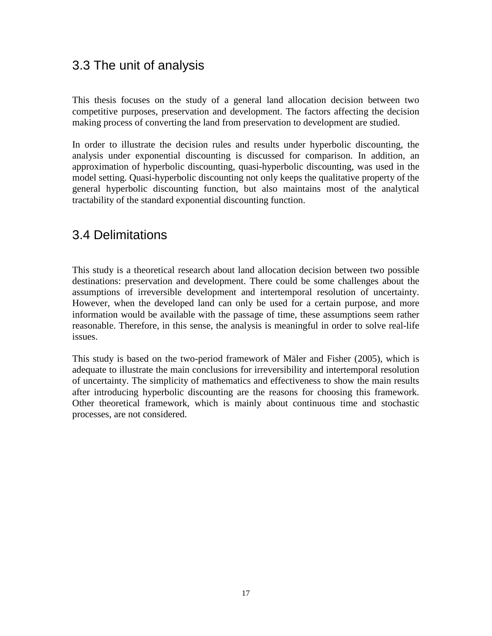## <span id="page-24-0"></span>3.3 The unit of analysis

This thesis focuses on the study of a general land allocation decision between two competitive purposes, preservation and development. The factors affecting the decision making process of converting the land from preservation to development are studied.

In order to illustrate the decision rules and results under hyperbolic discounting, the analysis under exponential discounting is discussed for comparison. In addition, an approximation of hyperbolic discounting, quasi-hyperbolic discounting, was used in the model setting. Quasi-hyperbolic discounting not only keeps the qualitative property of the general hyperbolic discounting function, but also maintains most of the analytical tractability of the standard exponential discounting function.

## <span id="page-24-1"></span>3.4 Delimitations

This study is a theoretical research about land allocation decision between two possible destinations: preservation and development. There could be some challenges about the assumptions of irreversible development and intertemporal resolution of uncertainty. However, when the developed land can only be used for a certain purpose, and more information would be available with the passage of time, these assumptions seem rather reasonable. Therefore, in this sense, the analysis is meaningful in order to solve real-life issues.

This study is based on the two-period framework of Mäler and Fisher (2005), which is adequate to illustrate the main conclusions for irreversibility and intertemporal resolution of uncertainty. The simplicity of mathematics and effectiveness to show the main results after introducing hyperbolic discounting are the reasons for choosing this framework. Other theoretical framework, which is mainly about continuous time and stochastic processes, are not considered.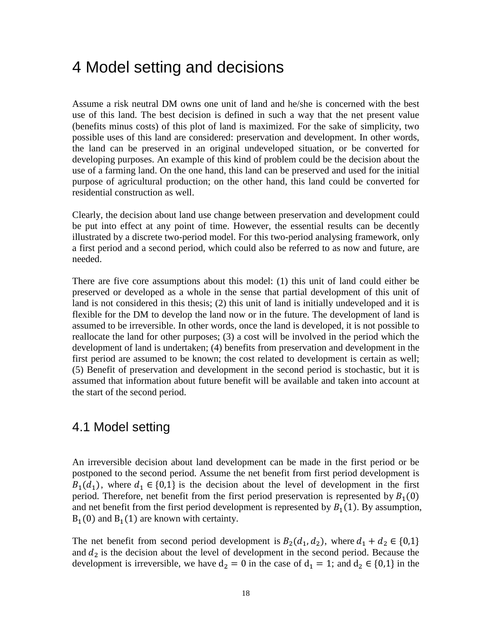## <span id="page-25-0"></span>4 Model setting and decisions

Assume a risk neutral DM owns one unit of land and he/she is concerned with the best use of this land. The best decision is defined in such a way that the net present value (benefits minus costs) of this plot of land is maximized. For the sake of simplicity, two possible uses of this land are considered: preservation and development. In other words, the land can be preserved in an original undeveloped situation, or be converted for developing purposes. An example of this kind of problem could be the decision about the use of a farming land. On the one hand, this land can be preserved and used for the initial purpose of agricultural production; on the other hand, this land could be converted for residential construction as well.

Clearly, the decision about land use change between preservation and development could be put into effect at any point of time. However, the essential results can be decently illustrated by a discrete two-period model. For this two-period analysing framework, only a first period and a second period, which could also be referred to as now and future, are needed.

There are five core assumptions about this model: (1) this unit of land could either be preserved or developed as a whole in the sense that partial development of this unit of land is not considered in this thesis; (2) this unit of land is initially undeveloped and it is flexible for the DM to develop the land now or in the future. The development of land is assumed to be irreversible. In other words, once the land is developed, it is not possible to reallocate the land for other purposes; (3) a cost will be involved in the period which the development of land is undertaken; (4) benefits from preservation and development in the first period are assumed to be known; the cost related to development is certain as well; (5) Benefit of preservation and development in the second period is stochastic, but it is assumed that information about future benefit will be available and taken into account at the start of the second period.

### <span id="page-25-1"></span>4.1 Model setting

An irreversible decision about land development can be made in the first period or be postponed to the second period. Assume the net benefit from first period development is  $B_1(d_1)$ , where  $d_1 \in \{0,1\}$  is the decision about the level of development in the first period. Therefore, net benefit from the first period preservation is represented by  $B_1(0)$ and net benefit from the first period development is represented by  $B_1(1)$ . By assumption,  $B_1(0)$  and  $B_1(1)$  are known with certainty.

The net benefit from second period development is  $B_2(d_1, d_2)$ , where  $d_1 + d_2 \in \{0, 1\}$ and  $d_2$  is the decision about the level of development in the second period. Because the development is irreversible, we have  $d_2 = 0$  in the case of  $d_1 = 1$ ; and  $d_2 \in \{0,1\}$  in the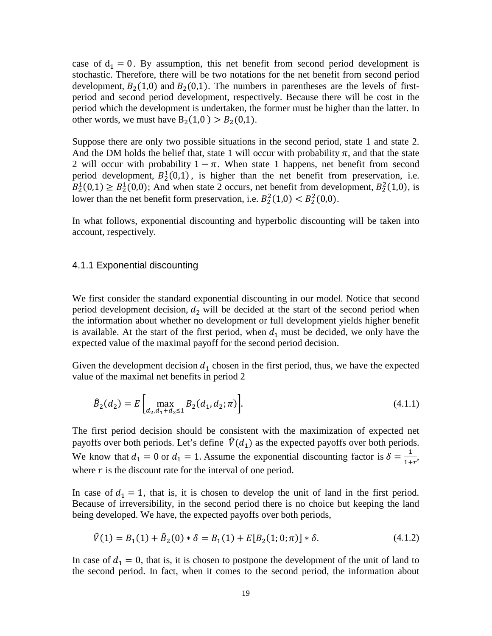case of  $d_1 = 0$ . By assumption, this net benefit from second period development is stochastic. Therefore, there will be two notations for the net benefit from second period development,  $B_2(1,0)$  and  $B_2(0,1)$ . The numbers in parentheses are the levels of firstperiod and second period development, respectively. Because there will be cost in the period which the development is undertaken, the former must be higher than the latter. In other words, we must have  $B_2(1,0) > B_2(0,1)$ .

Suppose there are only two possible situations in the second period, state 1 and state 2. And the DM holds the belief that, state 1 will occur with probability  $\pi$ , and that the state 2 will occur with probability  $1 - \pi$ . When state 1 happens, net benefit from second period development,  $B_2^1(0,1)$ , is higher than the net benefit from preservation, i.e.  $B_2^1(0,1) \ge B_2^1(0,0)$ ; And when state 2 occurs, net benefit from development,  $B_2^2(1,0)$ , is lower than the net benefit form preservation, i.e.  $B_2^2(1,0) < B_2^2(0,0)$ .

In what follows, exponential discounting and hyperbolic discounting will be taken into account, respectively.

#### <span id="page-26-0"></span>4.1.1 Exponential discounting

We first consider the standard exponential discounting in our model. Notice that second period development decision,  $d_2$  will be decided at the start of the second period when the information about whether no development or full development yields higher benefit is available. At the start of the first period, when  $d_1$  must be decided, we only have the expected value of the maximal payoff for the second period decision.

Given the development decision  $d_1$  chosen in the first period, thus, we have the expected value of the maximal net benefits in period 2

$$
\hat{B}_2(d_2) = E \left[ \max_{d_2, d_1 + d_2 \le 1} B_2(d_1, d_2; \pi) \right].
$$
\n(4.1.1)

The first period decision should be consistent with the maximization of expected net payoffs over both periods. Let's define  $\hat{V}(d_1)$  as the expected payoffs over both periods. We know that  $d_1 = 0$  or  $d_1 = 1$ . Assume the exponential discounting factor is  $\delta = \frac{1}{1+r}$ , where  $r$  is the discount rate for the interval of one period.

In case of  $d_1 = 1$ , that is, it is chosen to develop the unit of land in the first period. Because of irreversibility, in the second period there is no choice but keeping the land being developed. We have, the expected payoffs over both periods,

$$
\hat{V}(1) = B_1(1) + \hat{B}_2(0) * \delta = B_1(1) + E[B_2(1; 0; \pi)] * \delta.
$$
\n(4.1.2)

In case of  $d_1 = 0$ , that is, it is chosen to postpone the development of the unit of land to the second period. In fact, when it comes to the second period, the information about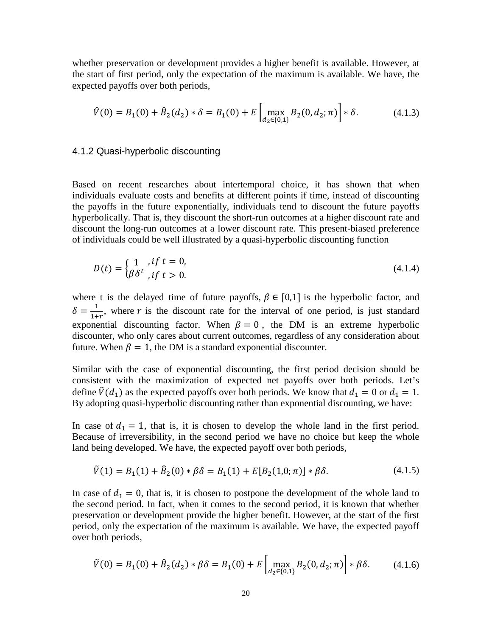whether preservation or development provides a higher benefit is available. However, at the start of first period, only the expectation of the maximum is available. We have, the expected payoffs over both periods,

$$
\hat{V}(0) = B_1(0) + \hat{B}_2(d_2) * \delta = B_1(0) + E \left[ \max_{d_2 \in \{0, 1\}} B_2(0, d_2; \pi) \right] * \delta. \tag{4.1.3}
$$

#### <span id="page-27-0"></span>4.1.2 Quasi-hyperbolic discounting

Based on recent researches about intertemporal choice, it has shown that when individuals evaluate costs and benefits at different points if time, instead of discounting the payoffs in the future exponentially, individuals tend to discount the future payoffs hyperbolically. That is, they discount the short-run outcomes at a higher discount rate and discount the long-run outcomes at a lower discount rate. This present-biased preference of individuals could be well illustrated by a quasi-hyperbolic discounting function

$$
D(t) = \begin{cases} 1, & if \ t = 0, \\ \beta \delta^t, & if \ t > 0. \end{cases}
$$
 (4.1.4)

where t is the delayed time of future payoffs,  $\beta \in [0,1]$  is the hyperbolic factor, and  $\delta = \frac{1}{1+r}$ , where r is the discount rate for the interval of one period, is just standard Exponential discounting factor. When  $\beta = 0$ , the DM is an extreme hyperbolic discounter, who only cares about current outcomes, regardless of any consideration about future. When  $\beta = 1$ , the DM is a standard exponential discounter.

Similar with the case of exponential discounting, the first period decision should be consistent with the maximization of expected net payoffs over both periods. Let's define  $\tilde{V}(d_1)$  as the expected payoffs over both periods. We know that  $d_1 = 0$  or  $d_1 = 1$ . By adopting quasi-hyperbolic discounting rather than exponential discounting, we have:

In case of  $d_1 = 1$ , that is, it is chosen to develop the whole land in the first period. Because of irreversibility, in the second period we have no choice but keep the whole land being developed. We have, the expected payoff over both periods,

$$
\tilde{V}(1) = B_1(1) + \hat{B}_2(0) * \beta \delta = B_1(1) + E[B_2(1,0;\pi)] * \beta \delta.
$$
\n(4.1.5)

In case of  $d_1 = 0$ , that is, it is chosen to postpone the development of the whole land to the second period. In fact, when it comes to the second period, it is known that whether preservation or development provide the higher benefit. However, at the start of the first period, only the expectation of the maximum is available. We have, the expected payoff over both periods,

$$
\tilde{V}(0) = B_1(0) + \hat{B}_2(d_2) * \beta \delta = B_1(0) + E \left[ \max_{d_2 \in \{0, 1\}} B_2(0, d_2; \pi) \right] * \beta \delta. \tag{4.1.6}
$$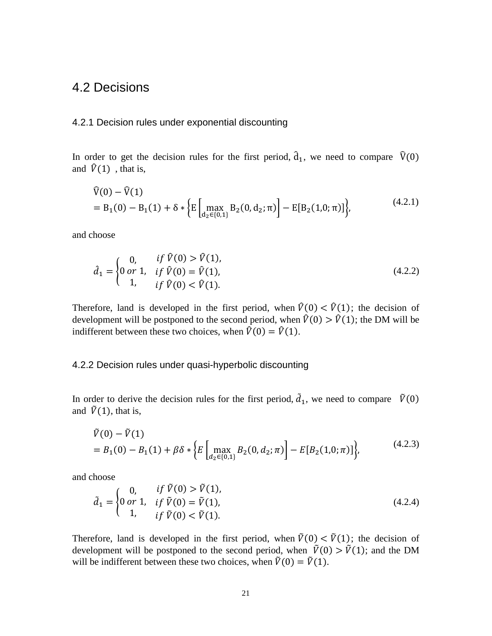### <span id="page-28-0"></span>4.2 Decisions

#### <span id="page-28-1"></span>4.2.1 Decision rules under exponential discounting

In order to get the decision rules for the first period,  $\hat{d}_1$ , we need to compare  $\hat{V}(0)$ and  $\hat{V}(1)$ , that is,

$$
\hat{V}(0) - \hat{V}(1) = B_1(0) - B_1(1) + \delta * \left\{ E \left[ \max_{d_2 \in \{0,1\}} B_2(0, d_2; \pi) \right] - E[B_2(1, 0; \pi)] \right\},\tag{4.2.1}
$$

and choose

$$
\hat{d}_1 = \begin{cases}\n0, & if \ \hat{V}(0) > \hat{V}(1), \\
0 \text{ or } 1, & if \ \hat{V}(0) = \hat{V}(1), \\
1, & if \ \hat{V}(0) < \hat{V}(1).\n\end{cases} (4.2.2)
$$

Therefore, land is developed in the first period, when  $\hat{V}(0) < \hat{V}(1)$ ; the decision of development will be postponed to the second period, when  $\hat{V}(0) > \hat{V}(1)$ ; the DM will be indifferent between these two choices, when  $\hat{V}(0) = \hat{V}(1)$ .

#### <span id="page-28-2"></span>4.2.2 Decision rules under quasi-hyperbolic discounting

In order to derive the decision rules for the first period,  $\tilde{d}_1$ , we need to compare  $\tilde{V}(0)$ and  $\tilde{V}(1)$ , that is,

$$
\tilde{V}(0) - \tilde{V}(1) = B_1(0) - B_1(1) + \beta \delta * \left\{ E \left[ \max_{d_2 \in \{0, 1\}} B_2(0, d_2; \pi) \right] - E[B_2(1, 0; \pi)] \right\},\tag{4.2.3}
$$

and choose

$$
\tilde{d}_1 = \begin{cases}\n0, & \text{if } \tilde{V}(0) > \tilde{V}(1), \\
0 \text{ or } 1, & \text{if } \tilde{V}(0) = \tilde{V}(1), \\
1, & \text{if } \tilde{V}(0) < \tilde{V}(1).\n\end{cases}
$$
\n(4.2.4)

Therefore, land is developed in the first period, when  $\tilde{V}(0) < \tilde{V}(1)$ ; the decision of development will be postponed to the second period, when  $\tilde{V}(0) > \tilde{V}(1)$ ; and the DM will be indifferent between these two choices, when  $\tilde{V}(0) = \tilde{V}(1)$ .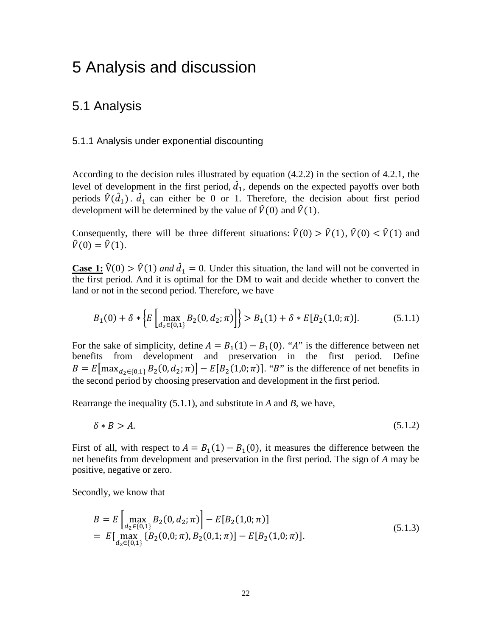## <span id="page-29-0"></span>5 Analysis and discussion

### <span id="page-29-1"></span>5.1 Analysis

### <span id="page-29-2"></span>5.1.1 Analysis under exponential discounting

According to the decision rules illustrated by equation (4.2.2) in the section of 4.2.1, the level of development in the first period,  $d_1$ , depends on the expected payoffs over both periods  $\hat{V}(\hat{d}_1)$ .  $\hat{d}_1$  can either be 0 or 1. Therefore, the decision about first period development will be determined by the value of  $\hat{V}(0)$  and  $\hat{V}(1)$ .

Consequently, there will be three different situations:  $\hat{V}(0) > \hat{V}(1)$ ,  $\hat{V}(0) < \hat{V}(1)$  and  $\hat{V}(0) = \hat{V}(1)$ .

**Case 1:**  $\hat{V}(0) > \hat{V}(1)$  *and*  $\hat{d}_1 = 0$ . Under this situation, the land will not be converted in the first period. And it is optimal for the DM to wait and decide whether to convert the land or not in the second period. Therefore, we have

$$
B_1(0) + \delta * \left\{ E \left[ \max_{d_2 \in \{0,1\}} B_2(0, d_2; \pi) \right] \right\} > B_1(1) + \delta * E[B_2(1, 0; \pi)]. \tag{5.1.1}
$$

For the sake of simplicity, define  $A = B_1(1) - B_1(0)$ . "A" is the difference between net benefits from development and preservation in the first period. Define  $B = E[\max_{d_2 \in \{0,1\}} B_2(0, d_2; \pi)] - E[B_2(1, 0; \pi)].$  "B" is the difference of net benefits in the second period by choosing preservation and development in the first period.

Rearrange the inequality (5.1.1), and substitute in *A* and *B*, we have,

$$
\delta * B > A. \tag{5.1.2}
$$

First of all, with respect to  $A = B_1(1) - B_1(0)$ , it measures the difference between the net benefits from development and preservation in the first period. The sign of *A* may be positive, negative or zero.

Secondly, we know that

$$
B = E \left[ \max_{d_2 \in \{0, 1\}} B_2(0, d_2; \pi) \right] - E[B_2(1, 0; \pi)]
$$
  
=  $E \left[ \max_{d_2 \in \{0, 1\}} \{ B_2(0, 0; \pi), B_2(0, 1; \pi) \} - E[B_2(1, 0; \pi)]. \right]$  (5.1.3)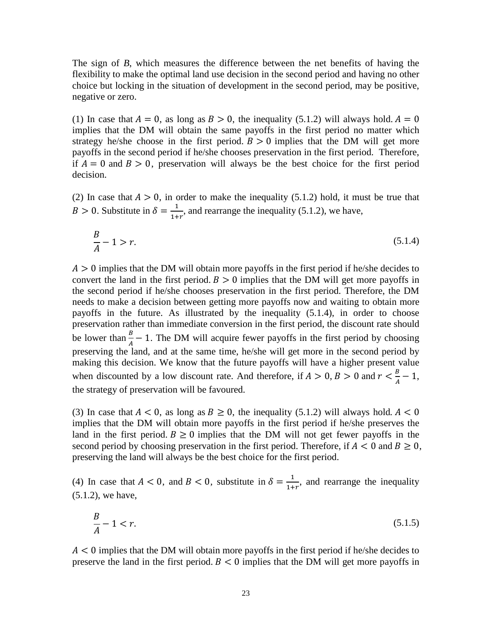The sign of *B*, which measures the difference between the net benefits of having the flexibility to make the optimal land use decision in the second period and having no other choice but locking in the situation of development in the second period, may be positive, negative or zero.

(1) In case that  $A = 0$ , as long as  $B > 0$ , the inequality (5.1.2) will always hold.  $A = 0$ implies that the DM will obtain the same payoffs in the first period no matter which strategy he/she choose in the first period.  $B > 0$  implies that the DM will get more payoffs in the second period if he/she chooses preservation in the first period. Therefore, if  $A = 0$  and  $B > 0$ , preservation will always be the best choice for the first period decision.

(2) In case that  $A > 0$ , in order to make the inequality (5.1.2) hold, it must be true that  $B > 0$ . Substitute in  $\delta = \frac{1}{1+r}$ , and rearrange the inequality (5.1.2), we have,

$$
\frac{B}{A} - 1 > r. \tag{5.1.4}
$$

 $A > 0$  implies that the DM will obtain more payoffs in the first period if he/she decides to convert the land in the first period.  $B > 0$  implies that the DM will get more payoffs in the second period if he/she chooses preservation in the first period. Therefore, the DM needs to make a decision between getting more payoffs now and waiting to obtain more payoffs in the future. As illustrated by the inequality (5.1.4), in order to choose preservation rather than immediate conversion in the first period, the discount rate should be lower than  $\frac{B}{A} - 1$ . The DM will acquire fewer payoffs in the first period by choosing preserving the land, and at the same time, he/she will get more in the second period by making this decision. We know that the future payoffs will have a higher present value when discounted by a low discount rate. And therefore, if  $A > 0$ ,  $B > 0$  and  $r < \frac{B}{A} - 1$ , the strategy of preservation will be favoured.

(3) In case that  $A < 0$ , as long as  $B \ge 0$ , the inequality (5.1.2) will always hold.  $A < 0$ implies that the DM will obtain more payoffs in the first period if he/she preserves the land in the first period.  $B \ge 0$  implies that the DM will not get fewer payoffs in the second period by choosing preservation in the first period. Therefore, if  $A < 0$  and  $B \ge 0$ , preserving the land will always be the best choice for the first period.

(4) In case that  $A < 0$ , and  $B < 0$ , substitute in  $\delta = \frac{1}{1+r}$ , and rearrange the inequality (5.1.2), we have,

$$
\frac{B}{A} - 1 < r. \tag{5.1.5}
$$

 $A < 0$  implies that the DM will obtain more payoffs in the first period if he/she decides to preserve the land in the first period.  $B < 0$  implies that the DM will get more payoffs in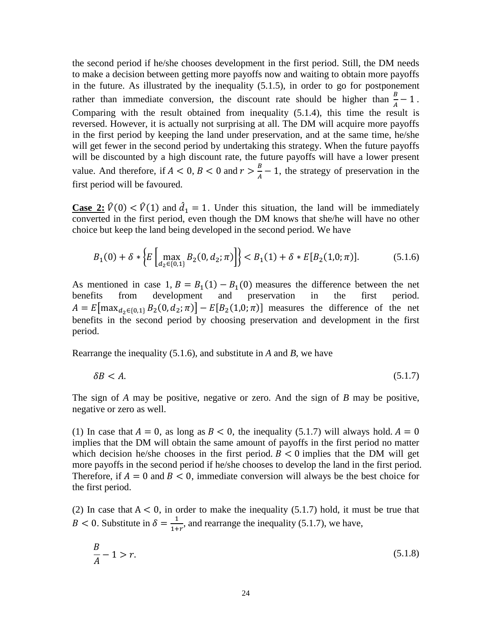the second period if he/she chooses development in the first period. Still, the DM needs to make a decision between getting more payoffs now and waiting to obtain more payoffs in the future. As illustrated by the inequality (5.1.5), in order to go for postponement rather than immediate conversion, the discount rate should be higher than  $\frac{B}{A} - 1$ . Comparing with the result obtained from inequality (5.1.4), this time the result is reversed. However, it is actually not surprising at all. The DM will acquire more payoffs in the first period by keeping the land under preservation, and at the same time, he/she will get fewer in the second period by undertaking this strategy. When the future payoffs will be discounted by a high discount rate, the future payoffs will have a lower present value. And therefore, if  $A < 0$ ,  $B < 0$  and  $r > \frac{B}{A} - 1$ , the strategy of preservation in the first period will be favoured.

**Case 2:**  $\hat{V}(0) < \hat{V}(1)$  and  $\hat{d}_1 = 1$ . Under this situation, the land will be immediately converted in the first period, even though the DM knows that she/he will have no other choice but keep the land being developed in the second period. We have

$$
B_1(0) + \delta * \left\{ E \left[ \max_{d_2 \in \{0,1\}} B_2(0, d_2; \pi) \right] \right\} < B_1(1) + \delta * E[B_2(1, 0; \pi)]. \tag{5.1.6}
$$

As mentioned in case 1*, B* =  $B_1(1) - B_1(0)$  measures the difference between the net benefits from development and preservation in the first period. development and preservation  $A = E[\max_{d_2 \in \{0,1\}} B_2(0, d_2; \pi)] - E[B_2(1, 0; \pi)]$  measures the difference of the net benefits in the second period by choosing preservation and development in the first period.

Rearrange the inequality (5.1.6), and substitute in *A* and *B*, we have

$$
\delta B < A. \tag{5.1.7}
$$

The sign of *A* may be positive, negative or zero. And the sign of *B* may be positive, negative or zero as well.

(1) In case that  $A = 0$ , as long as  $B < 0$ , the inequality (5.1.7) will always hold.  $A = 0$ implies that the DM will obtain the same amount of payoffs in the first period no matter which decision he/she chooses in the first period.  $B < 0$  implies that the DM will get more payoffs in the second period if he/she chooses to develop the land in the first period. Therefore, if  $A = 0$  and  $B < 0$ , immediate conversion will always be the best choice for the first period.

(2) In case that  $A < 0$ , in order to make the inequality (5.1.7) hold, it must be true that  $B < 0$ . Substitute in  $\delta = \frac{1}{1+r}$ , and rearrange the inequality (5.1.7), we have,

$$
\frac{B}{A} - 1 > r.
$$
\n(5.1.8)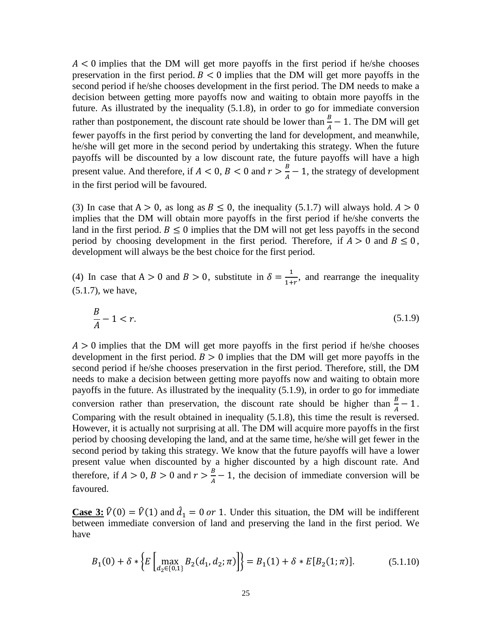$A < 0$  implies that the DM will get more payoffs in the first period if he/she chooses preservation in the first period.  $B < 0$  implies that the DM will get more payoffs in the second period if he/she chooses development in the first period. The DM needs to make a decision between getting more payoffs now and waiting to obtain more payoffs in the future. As illustrated by the inequality (5.1.8), in order to go for immediate conversion rather than postponement, the discount rate should be lower than  $\frac{B}{A} - 1$ . The DM will get fewer payoffs in the first period by converting the land for development, and meanwhile, he/she will get more in the second period by undertaking this strategy. When the future payoffs will be discounted by a low discount rate, the future payoffs will have a high present value. And therefore, if  $A < 0$ ,  $B < 0$  and  $r > \frac{B}{A} - 1$ , the strategy of development in the first period will be favoured.

(3) In case that  $A > 0$ , as long as  $B \le 0$ , the inequality (5.1.7) will always hold.  $A > 0$ implies that the DM will obtain more payoffs in the first period if he/she converts the land in the first period.  $B \le 0$  implies that the DM will not get less payoffs in the second period by choosing development in the first period. Therefore, if  $A > 0$  and  $B \le 0$ , development will always be the best choice for the first period.

(4) In case that  $A > 0$  and  $B > 0$ , substitute in  $\delta = \frac{1}{1+r}$ , and rearrange the inequality (5.1.7), we have,

$$
\frac{B}{A} - 1 < r. \tag{5.1.9}
$$

 $A > 0$  implies that the DM will get more payoffs in the first period if he/she chooses development in the first period.  $B > 0$  implies that the DM will get more payoffs in the second period if he/she chooses preservation in the first period. Therefore, still, the DM needs to make a decision between getting more payoffs now and waiting to obtain more payoffs in the future. As illustrated by the inequality (5.1.9), in order to go for immediate conversion rather than preservation, the discount rate should be higher than  $\frac{B}{A} - 1$ . Comparing with the result obtained in inequality (5.1.8), this time the result is reversed. However, it is actually not surprising at all. The DM will acquire more payoffs in the first period by choosing developing the land, and at the same time, he/she will get fewer in the second period by taking this strategy. We know that the future payoffs will have a lower present value when discounted by a higher discounted by a high discount rate. And therefore, if  $A > 0$ ,  $B > 0$  and  $r > \frac{B}{A} - 1$ , the decision of immediate conversion will be favoured.

**Case 3:**  $\hat{V}(0) = \hat{V}(1)$  and  $\hat{d}_1 = 0$  or 1. Under this situation, the DM will be indifferent between immediate conversion of land and preserving the land in the first period. We have

$$
B_1(0) + \delta * \left\{ E \left[ \max_{d_2 \in \{0, 1\}} B_2(d_1, d_2; \pi) \right] \right\} = B_1(1) + \delta * E[B_2(1; \pi)]. \tag{5.1.10}
$$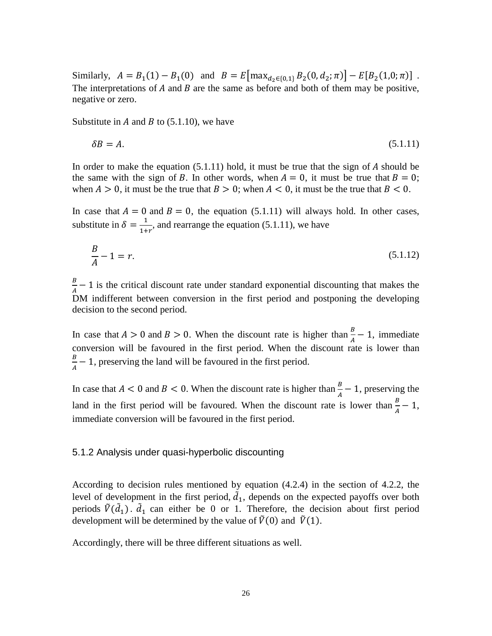Similarly,  $A = B_1(1) - B_1(0)$  and  $B = E[\max_{d_2 \in \{0,1\}} B_2(0, d_2; \pi)] - E[B_2(1,0; \pi)]$ . The interpretations of  $A$  and  $B$  are the same as before and both of them may be positive, negative or zero.

Substitute in  $A$  and  $B$  to (5.1.10), we have

$$
\delta B = A. \tag{5.1.11}
$$

In order to make the equation  $(5.1.11)$  hold, it must be true that the sign of A should be the same with the sign of B. In other words, when  $A = 0$ , it must be true that  $B = 0$ ; when  $A > 0$ , it must be the true that  $B > 0$ ; when  $A < 0$ , it must be the true that  $B < 0$ .

In case that  $A = 0$  and  $B = 0$ , the equation (5.1.11) will always hold. In other cases, substitute in  $\delta = \frac{1}{1+r}$ , and rearrange the equation (5.1.11), we have

$$
\frac{B}{A} - 1 = r.\tag{5.1.12}
$$

 $\frac{B}{A}$  – 1 is the critical discount rate under standard exponential discounting that makes the DM indifferent between conversion in the first period and postponing the developing decision to the second period.

In case that  $A > 0$  and  $B > 0$ . When the discount rate is higher than  $\frac{B}{A} - 1$ , immediate conversion will be favoured in the first period. When the discount rate is lower than  $\frac{B}{A}$  – 1, preserving the land will be favoured in the first period.

In case that  $A < 0$  and  $B < 0$ . When the discount rate is higher than  $\frac{B}{A} - 1$ , preserving the land in the first period will be favoured. When the discount rate is lower than  $\frac{B}{A} - 1$ , immediate conversion will be favoured in the first period.

#### <span id="page-33-0"></span>5.1.2 Analysis under quasi-hyperbolic discounting

According to decision rules mentioned by equation (4.2.4) in the section of 4.2.2, the level of development in the first period,  $d_1$ , depends on the expected payoffs over both periods  $\ddot{V}(d_1)$ .  $d_1$  can either be 0 or 1. Therefore, the decision about first period development will be determined by the value of  $\tilde{V}(0)$  and  $\tilde{V}(1)$ .

Accordingly, there will be three different situations as well.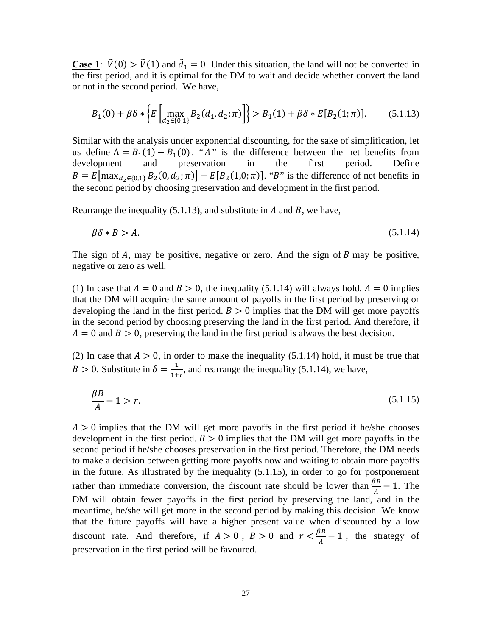**Case 1**:  $\hat{V}(0) > \hat{V}(1)$  and  $d_1 = 0$ . Under this situation, the land will not be converted in the first period, and it is optimal for the DM to wait and decide whether convert the land or not in the second period. We have,

$$
B_1(0) + \beta \delta * \left\{ E \left[ \max_{d_2 \in \{0, 1\}} B_2(d_1, d_2; \pi) \right] \right\} > B_1(1) + \beta \delta * E[B_2(1; \pi)]. \tag{5.1.13}
$$

Similar with the analysis under exponential discounting, for the sake of simplification, let us define  $A = B_1(1) - B_1(0)$ . "A" is the difference between the net benefits from development and preservation in the first period. Define development and preservation  $B = E[\max_{d_2 \in \{0,1\}} B_2(0, d_2; \pi)] - E[B_2(1,0; \pi)]$ . "B" is the difference of net benefits in the second period by choosing preservation and development in the first period.

Rearrange the inequality (5.1.13), and substitute in  $A$  and  $B$ , we have,

$$
\beta \delta * B > A. \tag{5.1.14}
$$

The sign of  $A$ , may be positive, negative or zero. And the sign of  $B$  may be positive, negative or zero as well.

(1) In case that  $A = 0$  and  $B > 0$ , the inequality (5.1.14) will always hold.  $A = 0$  implies that the DM will acquire the same amount of payoffs in the first period by preserving or developing the land in the first period.  $B > 0$  implies that the DM will get more payoffs in the second period by choosing preserving the land in the first period. And therefore, if  $A = 0$  and  $B > 0$ , preserving the land in the first period is always the best decision.

(2) In case that  $A > 0$ , in order to make the inequality (5.1.14) hold, it must be true that  $B > 0$ . Substitute in  $\delta = \frac{1}{1+r}$ , and rearrange the inequality (5.1.14), we have,

$$
\frac{\beta B}{A} - 1 > r. \tag{5.1.15}
$$

 $A > 0$  implies that the DM will get more payoffs in the first period if he/she chooses development in the first period.  $B > 0$  implies that the DM will get more payoffs in the second period if he/she chooses preservation in the first period. Therefore, the DM needs to make a decision between getting more payoffs now and waiting to obtain more payoffs in the future. As illustrated by the inequality (5.1.15), in order to go for postponement rather than immediate conversion, the discount rate should be lower than  $\frac{\beta B}{A} - 1$ . The DM will obtain fewer payoffs in the first period by preserving the land, and in the meantime, he/she will get more in the second period by making this decision. We know that the future payoffs will have a higher present value when discounted by a low discount rate. And therefore, if  $A > 0$ ,  $B > 0$  and  $r < \frac{\beta B}{A} - 1$ , the strategy of preservation in the first period will be favoured.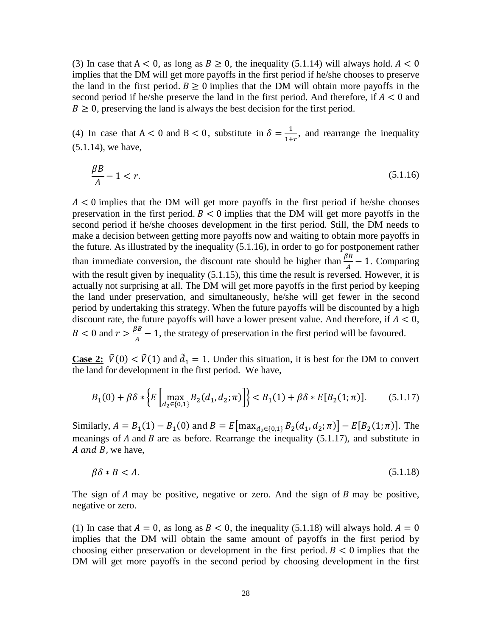(3) In case that  $A < 0$ , as long as  $B \ge 0$ , the inequality (5.1.14) will always hold.  $A < 0$ implies that the DM will get more payoffs in the first period if he/she chooses to preserve the land in the first period.  $B \ge 0$  implies that the DM will obtain more payoffs in the second period if he/she preserve the land in the first period. And therefore, if  $A < 0$  and  $B \ge 0$ , preserving the land is always the best decision for the first period.

(4) In case that  $A < 0$  and  $B < 0$ , substitute in  $\delta = \frac{1}{1+r}$ , and rearrange the inequality (5.1.14), we have,

$$
\frac{\beta B}{A} - 1 < r. \tag{5.1.16}
$$

 $A < 0$  implies that the DM will get more payoffs in the first period if he/she chooses preservation in the first period.  $B < 0$  implies that the DM will get more payoffs in the second period if he/she chooses development in the first period. Still, the DM needs to make a decision between getting more payoffs now and waiting to obtain more payoffs in the future. As illustrated by the inequality (5.1.16), in order to go for postponement rather than immediate conversion, the discount rate should be higher than  $\frac{\beta B}{A} - 1$ . Comparing with the result given by inequality (5.1.15), this time the result is reversed. However, it is actually not surprising at all. The DM will get more payoffs in the first period by keeping the land under preservation, and simultaneously, he/she will get fewer in the second period by undertaking this strategy. When the future payoffs will be discounted by a high discount rate, the future payoffs will have a lower present value. And therefore, if  $A < 0$ ,  $B < 0$  and  $r > \frac{\beta B}{A} - 1$ , the strategy of preservation in the first period will be favoured.

**Case 2:**  $\tilde{V}(0) < \tilde{V}(1)$  and  $d_1 = 1$ . Under this situation, it is best for the DM to convert the land for development in the first period. We have,

$$
B_1(0) + \beta \delta * \left\{ E \left[ \max_{d_2 \in \{0, 1\}} B_2(d_1, d_2; \pi) \right] \right\} < B_1(1) + \beta \delta * E[B_2(1; \pi)]. \tag{5.1.17}
$$

Similarly,  $A = B_1(1) - B_1(0)$  and  $B = E[\max_{d_2 \in \{0,1\}} B_2(d_1, d_2; \pi)] - E[B_2(1; \pi)]$ . The meanings of  $A$  and  $B$  are as before. Rearrange the inequality (5.1.17), and substitute in A and B, we have,

$$
\beta \delta * B < A. \tag{5.1.18}
$$

The sign of  $A$  may be positive, negative or zero. And the sign of  $B$  may be positive, negative or zero.

(1) In case that  $A = 0$ , as long as  $B < 0$ , the inequality (5.1.18) will always hold.  $A = 0$ implies that the DM will obtain the same amount of payoffs in the first period by choosing either preservation or development in the first period.  $B < 0$  implies that the DM will get more payoffs in the second period by choosing development in the first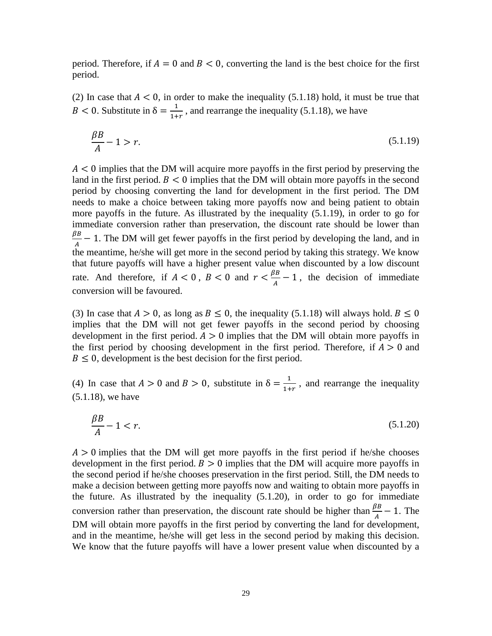period. Therefore, if  $A = 0$  and  $B < 0$ , converting the land is the best choice for the first period.

(2) In case that  $A < 0$ , in order to make the inequality (5.1.18) hold, it must be true that B < 0. Substitute in  $\delta = \frac{1}{1+r}$ , and rearrange the inequality (5.1.18), we have

$$
\frac{\beta B}{A} - 1 > r. \tag{5.1.19}
$$

 $A \leq 0$  implies that the DM will acquire more payoffs in the first period by preserving the land in the first period.  $B < 0$  implies that the DM will obtain more payoffs in the second period by choosing converting the land for development in the first period. The DM needs to make a choice between taking more payoffs now and being patient to obtain more payoffs in the future. As illustrated by the inequality (5.1.19), in order to go for immediate conversion rather than preservation, the discount rate should be lower than  $\frac{\beta B}{A}$  – 1. The DM will get fewer payoffs in the first period by developing the land, and in the meantime, he/she will get more in the second period by taking this strategy. We know that future payoffs will have a higher present value when discounted by a low discount rate. And therefore, if  $A < 0$ ,  $B < 0$  and  $r < \frac{\beta B}{A} - 1$ , the decision of immediate conversion will be favoured.

(3) In case that  $A > 0$ , as long as  $B \le 0$ , the inequality (5.1.18) will always hold.  $B \le 0$ implies that the DM will not get fewer payoffs in the second period by choosing development in the first period.  $A > 0$  implies that the DM will obtain more payoffs in the first period by choosing development in the first period. Therefore, if  $A > 0$  and  $B \leq 0$ , development is the best decision for the first period.

(4) In case that  $A > 0$  and  $B > 0$ , substitute in  $\delta = \frac{1}{1+r}$ , and rearrange the inequality (5.1.18), we have

$$
\frac{\beta B}{A} - 1 < r. \tag{5.1.20}
$$

 $A > 0$  implies that the DM will get more payoffs in the first period if he/she chooses development in the first period.  $B > 0$  implies that the DM will acquire more payoffs in the second period if he/she chooses preservation in the first period. Still, the DM needs to make a decision between getting more payoffs now and waiting to obtain more payoffs in the future. As illustrated by the inequality (5.1.20), in order to go for immediate conversion rather than preservation, the discount rate should be higher than  $\frac{\beta B}{A} - 1$ . The DM will obtain more payoffs in the first period by converting the land for development, and in the meantime, he/she will get less in the second period by making this decision. We know that the future payoffs will have a lower present value when discounted by a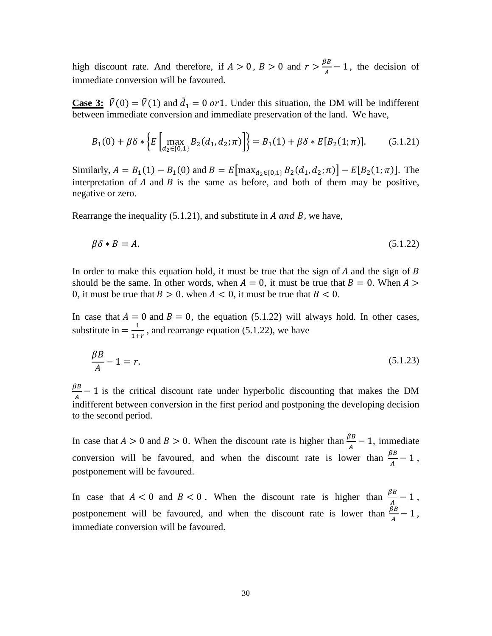high discount rate. And therefore, if  $A > 0$ ,  $B > 0$  and  $r > \frac{\beta B}{A} - 1$ , the decision of immediate conversion will be favoured.

**Case 3:**  $\tilde{V}(0) = \tilde{V}(1)$  and  $d_1 = 0$  or 1. Under this situation, the DM will be indifferent between immediate conversion and immediate preservation of the land. We have,

$$
B_1(0) + \beta \delta * \left\{ E \left[ \max_{d_2 \in \{0, 1\}} B_2(d_1, d_2; \pi) \right] \right\} = B_1(1) + \beta \delta * E[B_2(1; \pi)]. \tag{5.1.21}
$$

Similarly,  $A = B_1(1) - B_1(0)$  and  $B = E[\max_{d_2 \in \{0,1\}} B_2(d_1, d_2; \pi)] - E[B_2(1; \pi)]$ . The interpretation of  $A$  and  $B$  is the same as before, and both of them may be positive, negative or zero.

Rearrange the inequality  $(5.1.21)$ , and substitute in *A* and *B*, we have,

$$
\beta \delta * B = A. \tag{5.1.22}
$$

In order to make this equation hold, it must be true that the sign of  $A$  and the sign of  $B$ should be the same. In other words, when  $A = 0$ , it must be true that  $B = 0$ . When  $A >$ 0, it must be true that  $B > 0$ . when  $A < 0$ , it must be true that  $B < 0$ .

In case that  $A = 0$  and  $B = 0$ , the equation (5.1.22) will always hold. In other cases, substitute in  $=\frac{1}{1+r}$ , and rearrange equation (5.1.22), we have

$$
\frac{\beta B}{A} - 1 = r.\tag{5.1.23}
$$

 $\frac{BB}{A} - 1$  is the critical discount rate under hyperbolic discounting that makes the DM indifferent between conversion in the first period and postponing the developing decision to the second period.

In case that  $A > 0$  and  $B > 0$ . When the discount rate is higher than  $\frac{\beta B}{A} - 1$ , immediate conversion will be favoured, and when the discount rate is lower than  $\frac{\beta B}{A} - 1$ , postponement will be favoured.

In case that  $A < 0$  and  $B < 0$ . When the discount rate is higher than  $\frac{\beta B}{A} - 1$ , postponement will be favoured, and when the discount rate is lower than  $\frac{\beta B}{A} - 1$ , immediate conversion will be favoured.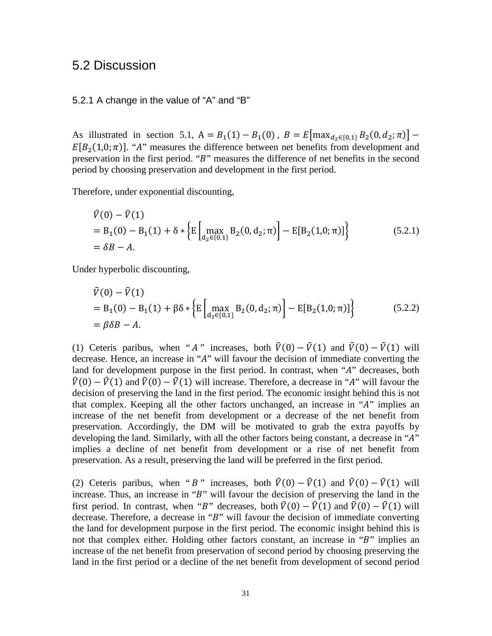### <span id="page-38-0"></span>5.2 Discussion

### <span id="page-38-1"></span>5.2.1 A change in the value of "A" and "B"

As illustrated in section 5.1,  $A = B_1(1) - B_1(0)$ ,  $B = E[\max_{d_2 \in \{0,1\}} B_2(0, d_2; \pi)]$  –  $E[B_2(1,0;\pi)]$ . "A" measures the difference between net benefits from development and preservation in the first period. "B" measures the difference of net benefits in the second period by choosing preservation and development in the first period.

Therefore, under exponential discounting,

$$
\hat{V}(0) - \hat{V}(1) \n= B_1(0) - B_1(1) + \delta * \left\{ E \left[ \max_{d_2 \in \{0,1\}} B_2(0, d_2; \pi) \right] - E[B_2(1, 0; \pi)] \right\}
$$
\n(5.2.1)  
\n=  $\delta B - A$ .

Under hyperbolic discounting,

$$
\tilde{V}(0) - \tilde{V}(1) \n= B_1(0) - B_1(1) + \beta \delta * \left\{ E \left[ \max_{d_2 \in \{0, 1\}} B_2(0, d_2; \pi) \right] - E[B_2(1, 0; \pi)] \right\}
$$
\n(5.2.2)  
\n=  $\beta \delta B - A$ .

(1) Ceteris paribus, when " *A*" increases, both  $\hat{V}(0) - \hat{V}(1)$  and  $\tilde{V}(0) - \tilde{V}(1)$  will decrease. Hence, an increase in "A" will favour the decision of immediate converting the land for development purpose in the first period. In contrast, when "A" decreases, both  $\hat{V}(0) - \hat{V}(1)$  and  $\tilde{V}(0) - \tilde{V}(1)$  will increase. Therefore, a decrease in "A" will favour the decision of preserving the land in the first period. The economic insight behind this is not that complex. Keeping all the other factors unchanged, an increase in "A" implies an increase of the net benefit from development or a decrease of the net benefit from preservation. Accordingly, the DM will be motivated to grab the extra payoffs by developing the land. Similarly, with all the other factors being constant, a decrease in " $A$ " implies a decline of net benefit from development or a rise of net benefit from preservation. As a result, preserving the land will be preferred in the first period.

(2) Ceteris paribus, when " B" increases, both  $\hat{V}(0) - \hat{V}(1)$  and  $\tilde{V}(0) - \tilde{V}(1)$  will increase. Thus, an increase in " $B$ " will favour the decision of preserving the land in the first period. In contrast, when "B" decreases, both  $\hat{V}(0) - \hat{V}(1)$  and  $\tilde{V}(0) - \tilde{V}(1)$  will decrease. Therefore, a decrease in " $B$ " will favour the decision of immediate converting the land for development purpose in the first period. The economic insight behind this is not that complex either. Holding other factors constant, an increase in " $B$ " implies an increase of the net benefit from preservation of second period by choosing preserving the land in the first period or a decline of the net benefit from development of second period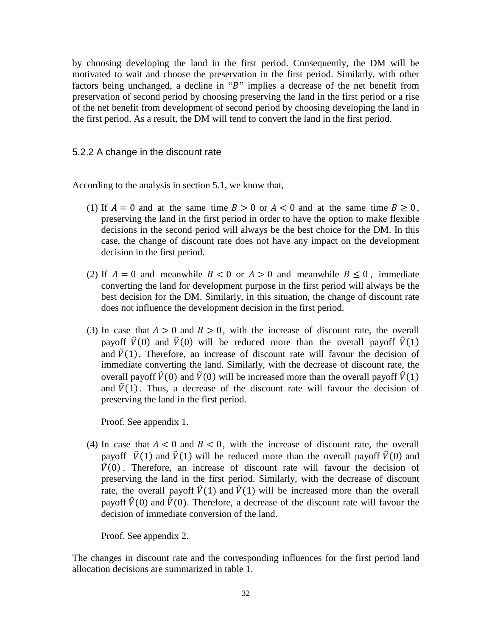by choosing developing the land in the first period. Consequently, the DM will be motivated to wait and choose the preservation in the first period. Similarly, with other factors being unchanged, a decline in " $B$ " implies a decrease of the net benefit from preservation of second period by choosing preserving the land in the first period or a rise of the net benefit from development of second period by choosing developing the land in the first period. As a result, the DM will tend to convert the land in the first period.

### <span id="page-39-0"></span>5.2.2 A change in the discount rate

According to the analysis in section 5.1, we know that,

- (1) If  $A = 0$  and at the same time  $B > 0$  or  $A < 0$  and at the same time  $B \ge 0$ , preserving the land in the first period in order to have the option to make flexible decisions in the second period will always be the best choice for the DM. In this case, the change of discount rate does not have any impact on the development decision in the first period.
- (2) If  $A = 0$  and meanwhile  $B < 0$  or  $A > 0$  and meanwhile  $B \le 0$ , immediate converting the land for development purpose in the first period will always be the best decision for the DM. Similarly, in this situation, the change of discount rate does not influence the development decision in the first period.
- (3) In case that  $A > 0$  and  $B > 0$ , with the increase of discount rate, the overall payoff  $\hat{V}(0)$  and  $\tilde{V}(0)$  will be reduced more than the overall payoff  $\hat{V}(1)$ and  $\tilde{V}(1)$ . Therefore, an increase of discount rate will favour the decision of immediate converting the land. Similarly, with the decrease of discount rate, the overall payoff  $\hat{V}(0)$  and  $\tilde{V}(0)$  will be increased more than the overall payoff  $\hat{V}(1)$ and  $\tilde{V}(1)$ . Thus, a decrease of the discount rate will favour the decision of preserving the land in the first period.

Proof. See appendix 1.

(4) In case that  $A < 0$  and  $B < 0$ , with the increase of discount rate, the overall payoff  $\hat{V}(1)$  and  $\tilde{V}(1)$  will be reduced more than the overall payoff  $\hat{V}(0)$  and  $\tilde{V}(0)$ . Therefore, an increase of discount rate will favour the decision of preserving the land in the first period. Similarly, with the decrease of discount rate, the overall payoff  $\hat{V}(1)$  and  $\tilde{V}(1)$  will be increased more than the overall payoff  $\hat{V}(0)$  and  $\tilde{V}(0)$ . Therefore, a decrease of the discount rate will favour the decision of immediate conversion of the land.

Proof. See appendix 2.

The changes in discount rate and the corresponding influences for the first period land allocation decisions are summarized in table 1.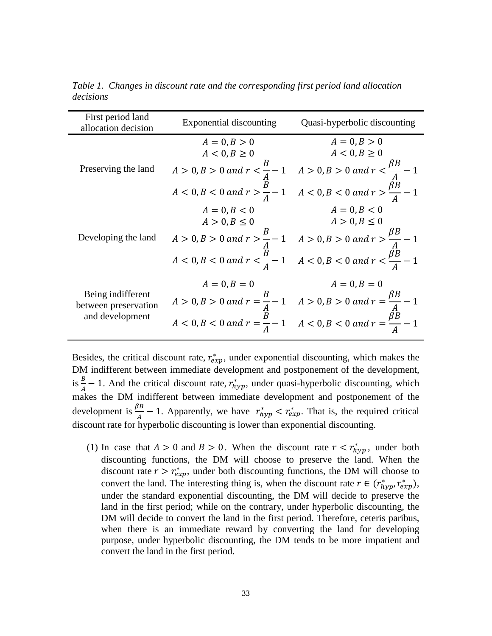<span id="page-40-0"></span>

| First period land<br>allocation decision  | Exponential discounting | Quasi-hyperbolic discounting                                                                                                                                                                                                                                                                                           |
|-------------------------------------------|-------------------------|------------------------------------------------------------------------------------------------------------------------------------------------------------------------------------------------------------------------------------------------------------------------------------------------------------------------|
|                                           |                         |                                                                                                                                                                                                                                                                                                                        |
| Preserving the land                       |                         |                                                                                                                                                                                                                                                                                                                        |
|                                           |                         | $A = 0, B > 0$<br>$A < 0, B \ge 0$<br>$A > 0, B > 0$<br>$A > 0, B > 0$<br>$A > 0, B > 0$<br>$A > 0, B > 0$<br>$A < 0, B \ge 0$<br>$A < 0, B \ge 0$<br>$A < 0, B > 0$<br>$A < 0, B > 0$<br>$A < 0, B > 0$<br>$A < 0, B < 0$<br>$A < 0, B < 0$<br>$A = 0, B > 0$<br>$A < 0, B \ge 0$<br>$A < 0, B \ge 0$<br>$A < 0, B <$ |
|                                           |                         |                                                                                                                                                                                                                                                                                                                        |
| Developing the land                       |                         |                                                                                                                                                                                                                                                                                                                        |
|                                           |                         |                                                                                                                                                                                                                                                                                                                        |
|                                           |                         | $A = 0, B < 0$<br>$A > 0, B \le 0$<br>$A > 0, B > 0$ and $r > \frac{B}{A} - 1$<br>$A > 0, B > 0$ and $r > \frac{B}{A} - 1$<br>$A < 0, B < 0$ and $r < \frac{B}{A} - 1$<br>$A < 0, B < 0$ and $r < \frac{B}{A} - 1$                                                                                                     |
|                                           |                         |                                                                                                                                                                                                                                                                                                                        |
|                                           |                         |                                                                                                                                                                                                                                                                                                                        |
| Being indifferent<br>between preservation |                         | $A = 0, B = 0$<br>$A > 0, B > 0$ and $r = \frac{B}{A} - 1$<br>$A > 0, B > 0$ and $r = \frac{B}{A} - 1$<br>$A < 0, B < 0$ and $r = \frac{B}{A} - 1$<br>$A < 0, B < 0$ and $r = \frac{\beta B}{A} - 1$                                                                                                                   |
| and development                           |                         |                                                                                                                                                                                                                                                                                                                        |

*Table 1. Changes in discount rate and the corresponding first period land allocation decisions*

Besides, the critical discount rate,  $r_{exp}^*$ , under exponential discounting, which makes the DM indifferent between immediate development and postponement of the development, is  $\frac{B}{A} - 1$ . And the critical discount rate,  $r_{hyp}^*$ , under quasi-hyperbolic discounting, which makes the DM indifferent between immediate development and postponement of the development is  $\frac{\beta B}{A} - 1$ . Apparently, we have  $r_{hyp}^* < r_{exp}^*$ . That is, the required critical discount rate for hyperbolic discounting is lower than exponential discounting.

(1) In case that  $A > 0$  and  $B > 0$ . When the discount rate  $r < r_{hyp}^*$ , under both discounting functions, the DM will choose to preserve the land. When the discount rate  $r > r_{exp}^*$ , under both discounting functions, the DM will choose to convert the land. The interesting thing is, when the discount rate  $r \in (r_{hyp}^*, r_{exp}^*),$ under the standard exponential discounting, the DM will decide to preserve the land in the first period; while on the contrary, under hyperbolic discounting, the DM will decide to convert the land in the first period. Therefore, ceteris paribus, when there is an immediate reward by converting the land for developing purpose, under hyperbolic discounting, the DM tends to be more impatient and convert the land in the first period.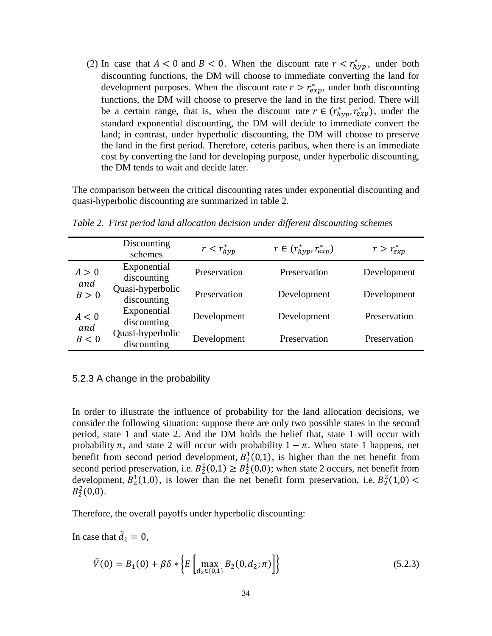(2) In case that  $A < 0$  and  $B < 0$ . When the discount rate  $r < r_{hyp}^*$ , under both discounting functions, the DM will choose to immediate converting the land for development purposes. When the discount rate  $r > r_{exp}^*$ , under both discounting functions, the DM will choose to preserve the land in the first period. There will be a certain range, that is, when the discount rate  $r \in (r_{hyp}^*, r_{exp}^*)$ , under the standard exponential discounting, the DM will decide to immediate convert the land; in contrast, under hyperbolic discounting, the DM will choose to preserve the land in the first period. Therefore, ceteris paribus, when there is an immediate cost by converting the land for developing purpose, under hyperbolic discounting, the DM tends to wait and decide later.

The comparison between the critical discounting rates under exponential discounting and quasi-hyperbolic discounting are summarized in table 2.

<span id="page-41-0"></span>

|              | Discounting<br>schemes          | $r < r_{hvp}^*$ | $r \in (r_{hyp}^*, r_{exp}^*)$ | $r > r_{exp}^*$ |
|--------------|---------------------------------|-----------------|--------------------------------|-----------------|
| A > 0<br>and | Exponential<br>discounting      | Preservation    | Preservation                   | Development     |
| B > 0        | Quasi-hyperbolic<br>discounting | Preservation    | Development                    | Development     |
| A < 0        | Exponential<br>discounting      | Development     | Development                    | Preservation    |
| and<br>B<0   | Quasi-hyperbolic<br>discounting | Development     | Preservation                   | Preservation    |

*Table 2. First period land allocation decision under different discounting schemes*

#### <span id="page-41-1"></span>5.2.3 A change in the probability

In order to illustrate the influence of probability for the land allocation decisions, we consider the following situation: suppose there are only two possible states in the second period, state 1 and state 2. And the DM holds the belief that, state 1 will occur with probability  $\pi$ , and state 2 will occur with probability  $1 - \pi$ . When state 1 happens, net benefit from second period development,  $B_2^1(0,1)$ , is higher than the net benefit from second period preservation, i.e.  $B_2^1(0,1) \ge B_2^1(0,0)$ ; when state 2 occurs, net benefit from development,  $B_2^1(1,0)$ , is lower than the net benefit form preservation, i.e.  $B_2^2(1,0)$  <  $B_2^2(0,0)$ .

Therefore, the overall payoffs under hyperbolic discounting:

In case that  $\ddot{d}_1 = 0$ ,

$$
\tilde{V}(0) = B_1(0) + \beta \delta * \left\{ E \left[ \max_{d_2 \in \{0, 1\}} B_2(0, d_2; \pi) \right] \right\} \tag{5.2.3}
$$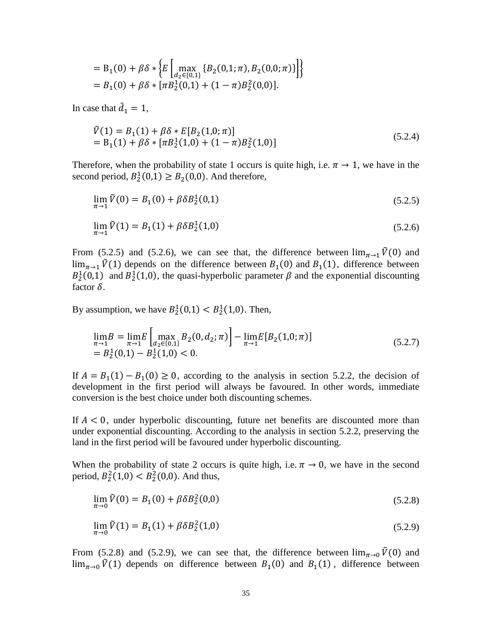$$
= B_1(0) + \beta \delta * \left\{ E \left[ \max_{d_2 \in \{0,1\}} \{ B_2(0,1;\pi), B_2(0,0;\pi) \} \right] \right\}
$$
  
=  $B_1(0) + \beta \delta * [\pi B_2^1(0,1) + (1-\pi)B_2^2(0,0)].$ 

In case that  $\ddot{d}_1 = 1$ ,

$$
\tilde{V}(1) = B_1(1) + \beta \delta * E[B_2(1,0;\pi)] \n= B_1(1) + \beta \delta * [\pi B_2^1(1,0) + (1-\pi)B_2^2(1,0)]
$$
\n(5.2.4)

Therefore, when the probability of state 1 occurs is quite high, i.e.  $\pi \rightarrow 1$ , we have in the second period,  $B_2^1(0,1) \ge B_2(0,0)$ . And therefore,

$$
\lim_{\pi \to 1} \tilde{V}(0) = B_1(0) + \beta \delta B_2^1(0,1)
$$
\n
$$
\lim_{\pi \to 1} \tilde{V}(1) = B_1(1) + \beta \delta B_2^1(1,0)
$$
\n(5.2.6)

From (5.2.5) and (5.2.6), we can see that, the difference between  $\lim_{\pi \to 1} \tilde{V}(0)$  and  $\lim_{\pi \to 1} \tilde{V}(1)$  depends on the difference between  $B_1(0)$  and  $B_1(1)$ , difference between  $B_2^1(0,1)$  and  $B_2^1(1,0)$ , the quasi-hyperbolic parameter  $\beta$  and the exponential discounting factor  $\delta$ .

By assumption, we have  $B_2^1(0,1) < B_2^1(1,0)$ . Then,

$$
\lim_{\pi \to 1} B = \lim_{\pi \to 1} E \left[ \max_{d_2 \in \{0, 1\}} B_2(0, d_2; \pi) \right] - \lim_{\pi \to 1} E[B_2(1, 0; \pi)] \n= B_2^1(0, 1) - B_2^1(1, 0) < 0.
$$
\n(5.2.7)

If  $A = B_1(1) - B_1(0) \ge 0$ , according to the analysis in section 5.2.2, the decision of development in the first period will always be favoured. In other words, immediate conversion is the best choice under both discounting schemes.

If  $A < 0$ , under hyperbolic discounting, future net benefits are discounted more than under exponential discounting. According to the analysis in section 5.2.2, preserving the land in the first period will be favoured under hyperbolic discounting.

When the probability of state 2 occurs is quite high, i.e.  $\pi \rightarrow 0$ , we have in the second period,  $B_2^2(1,0) < B_2^2(0,0)$ . And thus,

$$
\lim_{\pi \to 0} \tilde{V}(0) = B_1(0) + \beta \delta B_2^2(0,0)
$$
\n(5.2.8)

$$
\lim_{\pi \to 0} \tilde{V}(1) = B_1(1) + \beta \delta B_2^2(1,0) \tag{5.2.9}
$$

From (5.2.8) and (5.2.9), we can see that, the difference between  $\lim_{\pi \to 0} \tilde{V}(0)$  and  $\lim_{\pi\to 0} \tilde{V}(1)$  depends on difference between  $B_1(0)$  and  $B_1(1)$ , difference between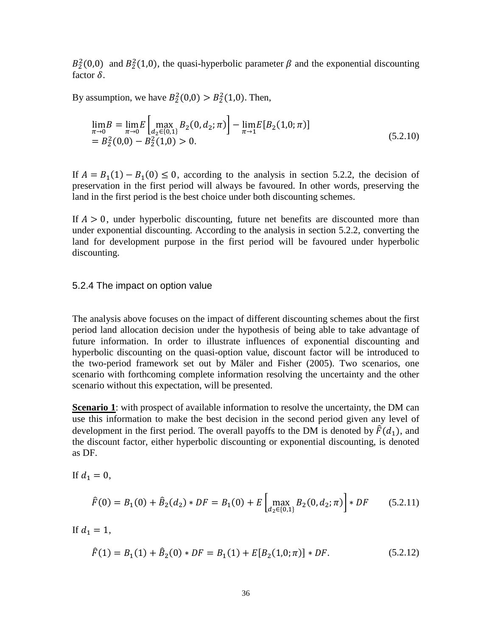$B_2^2(0,0)$  and  $B_2^2(1,0)$ , the quasi-hyperbolic parameter  $\beta$  and the exponential discounting factor  $\delta$ .

By assumption, we have  $B_2^2(0,0) > B_2^2(1,0)$ . Then,

$$
\lim_{\pi \to 0} B = \lim_{\pi \to 0} E \left[ \max_{d_2 \in \{0, 1\}} B_2(0, d_2; \pi) \right] - \lim_{\pi \to 1} E[B_2(1, 0; \pi)] \n= B_2^2(0, 0) - B_2^2(1, 0) > 0.
$$
\n(5.2.10)

If  $A = B_1(1) - B_1(0) \le 0$ , according to the analysis in section 5.2.2, the decision of preservation in the first period will always be favoured. In other words, preserving the land in the first period is the best choice under both discounting schemes.

If  $A > 0$ , under hyperbolic discounting, future net benefits are discounted more than under exponential discounting. According to the analysis in section 5.2.2, converting the land for development purpose in the first period will be favoured under hyperbolic discounting.

#### <span id="page-43-0"></span>5.2.4 The impact on option value

The analysis above focuses on the impact of different discounting schemes about the first period land allocation decision under the hypothesis of being able to take advantage of future information. In order to illustrate influences of exponential discounting and hyperbolic discounting on the quasi-option value, discount factor will be introduced to the two-period framework set out by Mäler and Fisher (2005). Two scenarios, one scenario with forthcoming complete information resolving the uncertainty and the other scenario without this expectation, will be presented.

**Scenario 1**: with prospect of available information to resolve the uncertainty, the DM can use this information to make the best decision in the second period given any level of development in the first period. The overall payoffs to the DM is denoted by  $\hat{F}(d_1)$ , and the discount factor, either hyperbolic discounting or exponential discounting, is denoted as DF.

If 
$$
d_1 = 0
$$
,  
\n
$$
\hat{F}(0) = B_1(0) + \hat{B}_2(d_2) * DF = B_1(0) + E \left[ \max_{d_2 \in \{0, 1\}} B_2(0, d_2; \pi) \right] * DF \qquad (5.2.11)
$$

If  $d_1 = 1$ ,

$$
\hat{F}(1) = B_1(1) + \hat{B}_2(0) * DF = B_1(1) + E[B_2(1,0;\pi)] * DF.
$$
\n(5.2.12)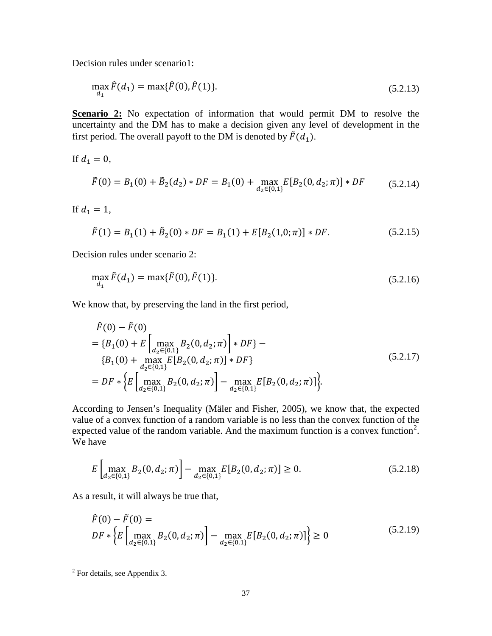Decision rules under scenario1:

$$
\max_{d_1} \hat{F}(d_1) = \max{\{\hat{F}(0), \hat{F}(1)\}}.
$$
\n(5.2.13)

**Scenario 2:** No expectation of information that would permit DM to resolve the uncertainty and the DM has to make a decision given any level of development in the first period. The overall payoff to the DM is denoted by  $\tilde{F}(d_1)$ .

If  $d_1 = 0$ ,

$$
\tilde{F}(0) = B_1(0) + \tilde{B}_2(d_2) * DF = B_1(0) + \max_{d_2 \in \{0, 1\}} E[B_2(0, d_2; \pi)] * DF \tag{5.2.14}
$$

If  $d_1 = 1$ ,

$$
\tilde{F}(1) = B_1(1) + \tilde{B}_2(0) * DF = B_1(1) + E[B_2(1,0;\pi)] * DF.
$$
\n(5.2.15)

Decision rules under scenario 2:

$$
\max_{d_1} \tilde{F}(d_1) = \max{\{\tilde{F}(0), \tilde{F}(1)\}}.
$$
\n(5.2.16)

We know that, by preserving the land in the first period,

$$
\hat{F}(0) - \tilde{F}(0)
$$
\n
$$
= \{B_1(0) + E\left[\max_{d_2 \in \{0,1\}} B_2(0, d_2; \pi)\right] * DF\} - \{B_1(0) + \max_{d_2 \in \{0,1\}} E[B_2(0, d_2; \pi)] * DF\}
$$
\n
$$
= DF * \{E\left[\max_{d_2 \in \{0,1\}} B_2(0, d_2; \pi)\right] - \max_{d_2 \in \{0,1\}} E[B_2(0, d_2; \pi)]\}.
$$
\n(5.2.17)

According to Jensen's Inequality (Mäler and Fisher, 2005), we know that, the expected value of a convex function of a random variable is no less than the convex function of the expected value of the random variable. And the maximum function is a convex function<sup>[2](#page-44-0)</sup>. We have

$$
E\left[\max_{d_2 \in \{0,1\}} B_2(0, d_2; \pi)\right] - \max_{d_2 \in \{0,1\}} E[B_2(0, d_2; \pi)] \ge 0. \tag{5.2.18}
$$

As a result, it will always be true that,

$$
\hat{F}(0) - \tilde{F}(0) =
$$
\n
$$
DF * \left\{ E \left[ \max_{d_2 \in \{0, 1\}} B_2(0, d_2; \pi) \right] - \max_{d_2 \in \{0, 1\}} E[B_2(0, d_2; \pi)] \right\} \ge 0
$$
\n(5.2.19)

<span id="page-44-0"></span> <sup>2</sup> For details, see Appendix 3.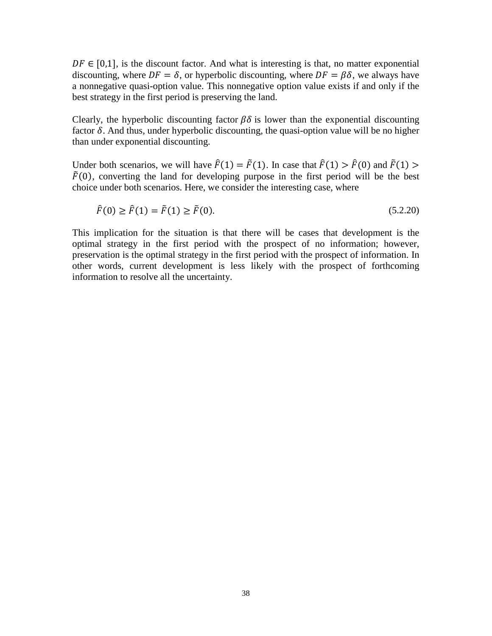$DF \in [0,1]$ , is the discount factor. And what is interesting is that, no matter exponential discounting, where  $DF = \delta$ , or hyperbolic discounting, where  $DF = \beta \delta$ , we always have a nonnegative quasi-option value. This nonnegative option value exists if and only if the best strategy in the first period is preserving the land.

Clearly, the hyperbolic discounting factor  $\beta\delta$  is lower than the exponential discounting factor  $\delta$ . And thus, under hyperbolic discounting, the quasi-option value will be no higher than under exponential discounting.

Under both scenarios, we will have  $\hat{F}(1) = \tilde{F}(1)$ . In case that  $\hat{F}(1) > \hat{F}(0)$  and  $\tilde{F}(1) >$  $\tilde{F}(0)$ , converting the land for developing purpose in the first period will be the best choice under both scenarios. Here, we consider the interesting case, where

$$
\hat{F}(0) \ge \hat{F}(1) = \tilde{F}(1) \ge \tilde{F}(0). \tag{5.2.20}
$$

This implication for the situation is that there will be cases that development is the optimal strategy in the first period with the prospect of no information; however, preservation is the optimal strategy in the first period with the prospect of information. In other words, current development is less likely with the prospect of forthcoming information to resolve all the uncertainty.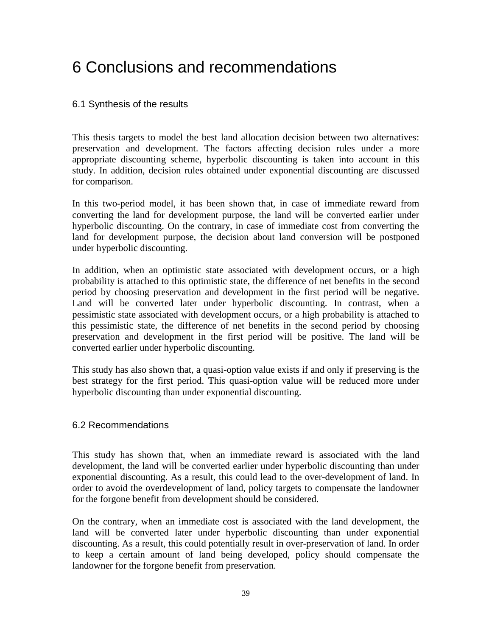# <span id="page-46-0"></span>6 Conclusions and recommendations

### <span id="page-46-1"></span>6.1 Synthesis of the results

This thesis targets to model the best land allocation decision between two alternatives: preservation and development. The factors affecting decision rules under a more appropriate discounting scheme, hyperbolic discounting is taken into account in this study. In addition, decision rules obtained under exponential discounting are discussed for comparison.

In this two-period model, it has been shown that, in case of immediate reward from converting the land for development purpose, the land will be converted earlier under hyperbolic discounting. On the contrary, in case of immediate cost from converting the land for development purpose, the decision about land conversion will be postponed under hyperbolic discounting.

In addition, when an optimistic state associated with development occurs, or a high probability is attached to this optimistic state, the difference of net benefits in the second period by choosing preservation and development in the first period will be negative. Land will be converted later under hyperbolic discounting. In contrast, when a pessimistic state associated with development occurs, or a high probability is attached to this pessimistic state, the difference of net benefits in the second period by choosing preservation and development in the first period will be positive. The land will be converted earlier under hyperbolic discounting.

This study has also shown that, a quasi-option value exists if and only if preserving is the best strategy for the first period. This quasi-option value will be reduced more under hyperbolic discounting than under exponential discounting.

### <span id="page-46-2"></span>6.2 Recommendations

This study has shown that, when an immediate reward is associated with the land development, the land will be converted earlier under hyperbolic discounting than under exponential discounting. As a result, this could lead to the over-development of land. In order to avoid the overdevelopment of land, policy targets to compensate the landowner for the forgone benefit from development should be considered.

On the contrary, when an immediate cost is associated with the land development, the land will be converted later under hyperbolic discounting than under exponential discounting. As a result, this could potentially result in over-preservation of land. In order to keep a certain amount of land being developed, policy should compensate the landowner for the forgone benefit from preservation.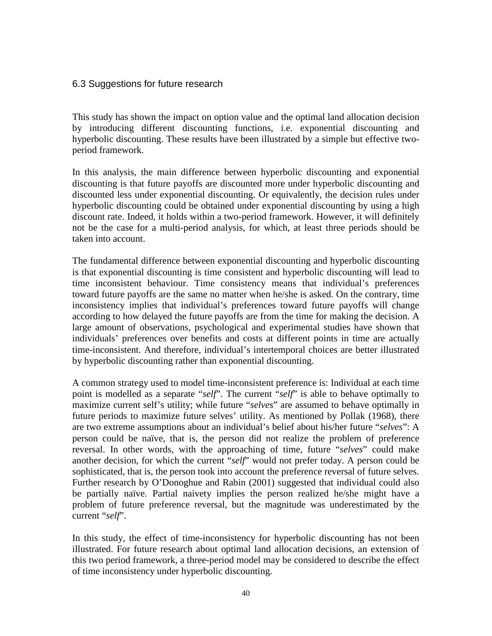### <span id="page-47-0"></span>6.3 Suggestions for future research

This study has shown the impact on option value and the optimal land allocation decision by introducing different discounting functions, i.e. exponential discounting and hyperbolic discounting. These results have been illustrated by a simple but effective twoperiod framework.

In this analysis, the main difference between hyperbolic discounting and exponential discounting is that future payoffs are discounted more under hyperbolic discounting and discounted less under exponential discounting. Or equivalently, the decision rules under hyperbolic discounting could be obtained under exponential discounting by using a high discount rate. Indeed, it holds within a two-period framework. However, it will definitely not be the case for a multi-period analysis, for which, at least three periods should be taken into account.

The fundamental difference between exponential discounting and hyperbolic discounting is that exponential discounting is time consistent and hyperbolic discounting will lead to time inconsistent behaviour. Time consistency means that individual's preferences toward future payoffs are the same no matter when he/she is asked. On the contrary, time inconsistency implies that individual's preferences toward future payoffs will change according to how delayed the future payoffs are from the time for making the decision. A large amount of observations, psychological and experimental studies have shown that individuals' preferences over benefits and costs at different points in time are actually time-inconsistent. And therefore, individual's intertemporal choices are better illustrated by hyperbolic discounting rather than exponential discounting.

A common strategy used to model time-inconsistent preference is: Individual at each time point is modelled as a separate "*self*". The current "*self*" is able to behave optimally to maximize current self's utility; while future "*selves*" are assumed to behave optimally in future periods to maximize future selves' utility. As mentioned by Pollak (1968), there are two extreme assumptions about an individual's belief about his/her future "*selves*": A person could be naïve, that is, the person did not realize the problem of preference reversal. In other words, with the approaching of time, future "*selves*" could make another decision, for which the current "*self*" would not prefer today. A person could be sophisticated, that is, the person took into account the preference reversal of future selves. Further research by O'Donoghue and Rabin (2001) suggested that individual could also be partially naïve. Partial naivety implies the person realized he/she might have a problem of future preference reversal, but the magnitude was underestimated by the current "*self*".

In this study, the effect of time-inconsistency for hyperbolic discounting has not been illustrated. For future research about optimal land allocation decisions, an extension of this two period framework, a three-period model may be considered to describe the effect of time inconsistency under hyperbolic discounting.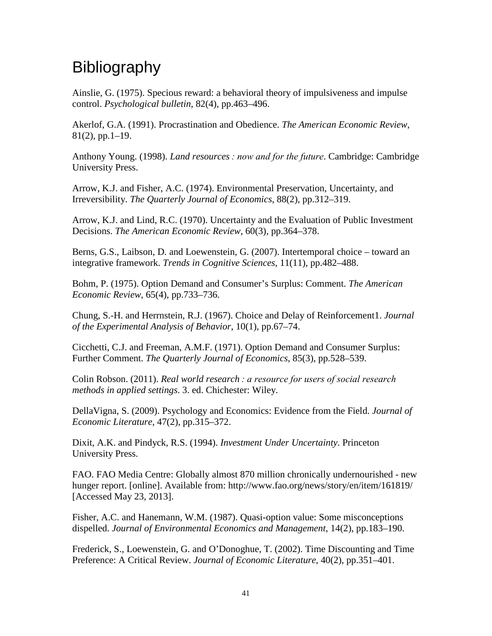# <span id="page-48-0"></span>**Bibliography**

Ainslie, G. (1975). Specious reward: a behavioral theory of impulsiveness and impulse control. *Psychological bulletin*, 82(4), pp.463–496.

Akerlof, G.A. (1991). Procrastination and Obedience. *The American Economic Review*, 81(2), pp.1–19.

Anthony Young. (1998). *Land resources : now and for the future*. Cambridge: Cambridge University Press.

Arrow, K.J. and Fisher, A.C. (1974). Environmental Preservation, Uncertainty, and Irreversibility. *The Quarterly Journal of Economics*, 88(2), pp.312–319.

Arrow, K.J. and Lind, R.C. (1970). Uncertainty and the Evaluation of Public Investment Decisions. *The American Economic Review*, 60(3), pp.364–378.

Berns, G.S., Laibson, D. and Loewenstein, G. (2007). Intertemporal choice – toward an integrative framework. *Trends in Cognitive Sciences*, 11(11), pp.482–488.

Bohm, P. (1975). Option Demand and Consumer's Surplus: Comment. *The American Economic Review*, 65(4), pp.733–736.

Chung, S.-H. and Herrnstein, R.J. (1967). Choice and Delay of Reinforcement1. *Journal of the Experimental Analysis of Behavior*, 10(1), pp.67–74.

Cicchetti, C.J. and Freeman, A.M.F. (1971). Option Demand and Consumer Surplus: Further Comment. *The Quarterly Journal of Economics*, 85(3), pp.528–539.

Colin Robson. (2011). *Real world research : a resource for users of social research methods in applied settings*. 3. ed. Chichester: Wiley.

DellaVigna, S. (2009). Psychology and Economics: Evidence from the Field. *Journal of Economic Literature*, 47(2), pp.315–372.

Dixit, A.K. and Pindyck, R.S. (1994). *Investment Under Uncertainty*. Princeton University Press.

FAO. FAO Media Centre: Globally almost 870 million chronically undernourished - new hunger report. [online]. Available from: http://www.fao.org/news/story/en/item/161819/ [Accessed May 23, 2013].

Fisher, A.C. and Hanemann, W.M. (1987). Quasi-option value: Some misconceptions dispelled. *Journal of Environmental Economics and Management*, 14(2), pp.183–190.

Frederick, S., Loewenstein, G. and O'Donoghue, T. (2002). Time Discounting and Time Preference: A Critical Review. *Journal of Economic Literature*, 40(2), pp.351–401.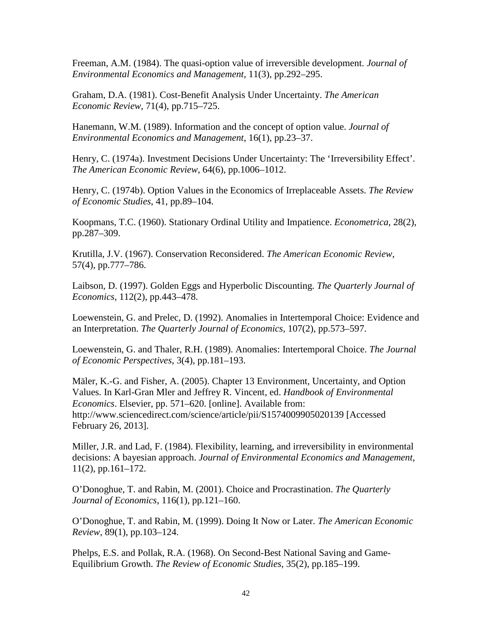Freeman, A.M. (1984). The quasi-option value of irreversible development. *Journal of Environmental Economics and Management*, 11(3), pp.292–295.

Graham, D.A. (1981). Cost-Benefit Analysis Under Uncertainty. *The American Economic Review*, 71(4), pp.715–725.

Hanemann, W.M. (1989). Information and the concept of option value. *Journal of Environmental Economics and Management*, 16(1), pp.23–37.

Henry, C. (1974a). Investment Decisions Under Uncertainty: The 'Irreversibility Effect'. *The American Economic Review*, 64(6), pp.1006–1012.

Henry, C. (1974b). Option Values in the Economics of Irreplaceable Assets. *The Review of Economic Studies*, 41, pp.89–104.

Koopmans, T.C. (1960). Stationary Ordinal Utility and Impatience. *Econometrica*, 28(2), pp.287–309.

Krutilla, J.V. (1967). Conservation Reconsidered. *The American Economic Review*, 57(4), pp.777–786.

Laibson, D. (1997). Golden Eggs and Hyperbolic Discounting. *The Quarterly Journal of Economics*, 112(2), pp.443–478.

Loewenstein, G. and Prelec, D. (1992). Anomalies in Intertemporal Choice: Evidence and an Interpretation. *The Quarterly Journal of Economics*, 107(2), pp.573–597.

Loewenstein, G. and Thaler, R.H. (1989). Anomalies: Intertemporal Choice. *The Journal of Economic Perspectives*, 3(4), pp.181–193.

Mäler, K.-G. and Fisher, A. (2005). Chapter 13 Environment, Uncertainty, and Option Values. In Karl-Gran Mler and Jeffrey R. Vincent, ed. *Handbook of Environmental Economics*. Elsevier, pp. 571–620. [online]. Available from: http://www.sciencedirect.com/science/article/pii/S1574009905020139 [Accessed February 26, 2013].

Miller, J.R. and Lad, F. (1984). Flexibility, learning, and irreversibility in environmental decisions: A bayesian approach. *Journal of Environmental Economics and Management*, 11(2), pp.161–172.

O'Donoghue, T. and Rabin, M. (2001). Choice and Procrastination. *The Quarterly Journal of Economics*, 116(1), pp.121–160.

O'Donoghue, T. and Rabin, M. (1999). Doing It Now or Later. *The American Economic Review*, 89(1), pp.103–124.

Phelps, E.S. and Pollak, R.A. (1968). On Second-Best National Saving and Game-Equilibrium Growth. *The Review of Economic Studies*, 35(2), pp.185–199.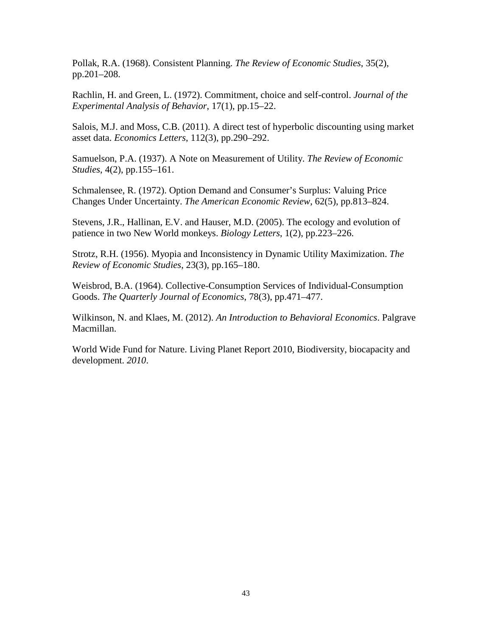Pollak, R.A. (1968). Consistent Planning. *The Review of Economic Studies*, 35(2), pp.201–208.

Rachlin, H. and Green, L. (1972). Commitment, choice and self-control. *Journal of the Experimental Analysis of Behavior*, 17(1), pp.15–22.

Salois, M.J. and Moss, C.B. (2011). A direct test of hyperbolic discounting using market asset data. *Economics Letters*, 112(3), pp.290–292.

Samuelson, P.A. (1937). A Note on Measurement of Utility. *The Review of Economic Studies*, 4(2), pp.155–161.

Schmalensee, R. (1972). Option Demand and Consumer's Surplus: Valuing Price Changes Under Uncertainty. *The American Economic Review*, 62(5), pp.813–824.

Stevens, J.R., Hallinan, E.V. and Hauser, M.D. (2005). The ecology and evolution of patience in two New World monkeys. *Biology Letters*, 1(2), pp.223–226.

Strotz, R.H. (1956). Myopia and Inconsistency in Dynamic Utility Maximization. *The Review of Economic Studies*, 23(3), pp.165–180.

Weisbrod, B.A. (1964). Collective-Consumption Services of Individual-Consumption Goods. *The Quarterly Journal of Economics*, 78(3), pp.471–477.

Wilkinson, N. and Klaes, M. (2012). *An Introduction to Behavioral Economics*. Palgrave Macmillan.

World Wide Fund for Nature. Living Planet Report 2010, Biodiversity, biocapacity and development. *2010*.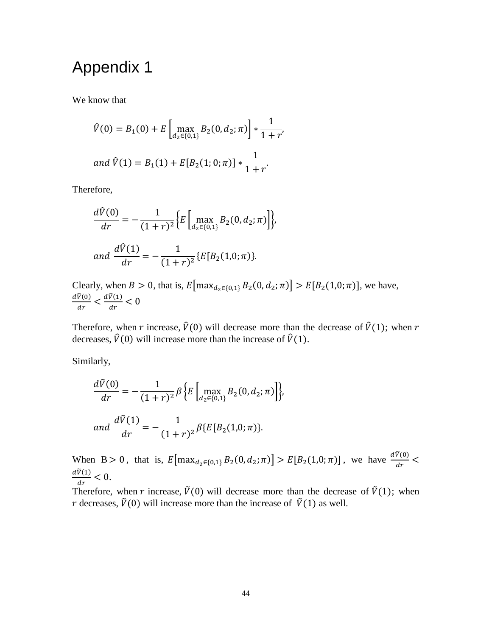## <span id="page-51-0"></span>Appendix 1

We know that

$$
\hat{V}(0) = B_1(0) + E \left[ \max_{d_2 \in \{0, 1\}} B_2(0, d_2; \pi) \right] * \frac{1}{1 + r'}
$$
  
and  $\hat{V}(1) = B_1(1) + E[B_2(1; 0; \pi)] * \frac{1}{1 + r'}$ .

Therefore,

$$
\frac{d\hat{V}(0)}{dr} = -\frac{1}{(1+r)^2} \Big\{ E \Big[ \max_{d_2 \in \{0,1\}} B_2(0, d_2; \pi) \Big] \Big\},\,
$$
  
and 
$$
\frac{d\hat{V}(1)}{dr} = -\frac{1}{(1+r)^2} \{ E[B_2(1,0; \pi) \}.
$$

Clearly, when  $B > 0$ , that is,  $E[\max_{d_2 \in \{0,1\}} B_2(0, d_2; \pi)] > E[B_2(1, 0; \pi)]$ , we have,  $dV(0)$  $\frac{\dot{V}(0)}{dr} < \frac{dV(1)}{dr} < 0$ 

Therefore, when r increase,  $\hat{V}(0)$  will decrease more than the decrease of  $\hat{V}(1)$ ; when r decreases,  $\hat{V}(0)$  will increase more than the increase of  $\hat{V}(1)$ .

Similarly,

$$
\frac{dV(0)}{dr} = -\frac{1}{(1+r)^2} \beta \left\{ E \left[ \max_{d_2 \in \{0,1\}} B_2(0, d_2; \pi) \right] \right\},\
$$
  
and 
$$
\frac{d\tilde{V}(1)}{dr} = -\frac{1}{(1+r)^2} \beta \left\{ E \left[ B_2(1,0; \pi) \right] \right\}.
$$

When B > 0, that is,  $E[\max_{d_2 \in \{0,1\}} B_2(0, d_2; \pi)] > E[B_2(1, 0; \pi)]$ , we have  $\frac{dV(0)}{dr}$  <  $d\tilde{V}(1)$  $\frac{d}{dr} < 0.$ 

Therefore, when r increase,  $\tilde{V}(0)$  will decrease more than the decrease of  $\tilde{V}(1)$ ; when r decreases,  $\tilde{V}(0)$  will increase more than the increase of  $\tilde{V}(1)$  as well.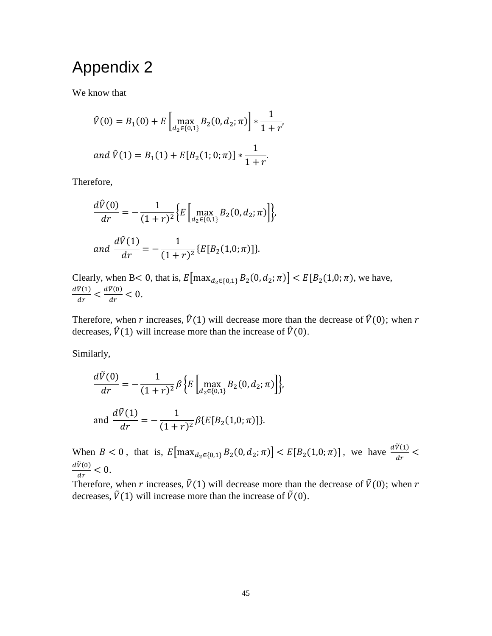## <span id="page-52-0"></span>Appendix 2

We know that

$$
\hat{V}(0) = B_1(0) + E \left[ \max_{d_2 \in \{0, 1\}} B_2(0, d_2; \pi) \right] * \frac{1}{1 + r'}
$$
  
and  $\hat{V}(1) = B_1(1) + E[B_2(1; 0; \pi)] * \frac{1}{1 + r'}$ .

Therefore,

$$
\frac{d\hat{V}(0)}{dr} = -\frac{1}{(1+r)^2} \Big\{ E \Big[ \max_{d_2 \in \{0,1\}} B_2(0, d_2; \pi) \Big] \Big\},\,
$$
  
and 
$$
\frac{d\hat{V}(1)}{dr} = -\frac{1}{(1+r)^2} \{ E[B_2(1,0; \pi)] \}.
$$

Clearly, when B< 0, that is,  $E[\max_{d_2 \in \{0,1\}} B_2(0, d_2; \pi)] < E[B_2(1, 0; \pi)]$ , we have,  $dV(1)$  $\frac{dV(1)}{dr} < \frac{dV(0)}{dr} < 0.$ 

Therefore, when r increases,  $\hat{V}(1)$  will decrease more than the decrease of  $\hat{V}(0)$ ; when r decreases,  $\hat{V}(1)$  will increase more than the increase of  $\hat{V}(0)$ .

Similarly,

$$
\frac{dV(0)}{dr} = -\frac{1}{(1+r)^2} \beta \left\{ E \left[ \max_{d_2 \in \{0,1\}} B_2(0, d_2; \pi) \right] \right\},\
$$
  
and 
$$
\frac{d\tilde{V}(1)}{dr} = -\frac{1}{(1+r)^2} \beta \left\{ E \left[ B_2(1,0; \pi) \right] \right\}.
$$

When  $B < 0$ , that is,  $E[\max_{d_2 \in \{0,1\}} B_2(0, d_2; \pi)] < E[B_2(1, 0; \pi)]$ , we have  $\frac{dV(1)}{dr} <$  $\frac{d\dot{V}(0)}{dr}<0.$ 

 $\frac{dr}{dt}$  Therefore, when *r* increases,  $\tilde{V}(1)$  will decrease more than the decrease of  $\tilde{V}(0)$ ; when *r* decreases,  $\tilde{V}(1)$  will increase more than the increase of  $\tilde{V}(0)$ .